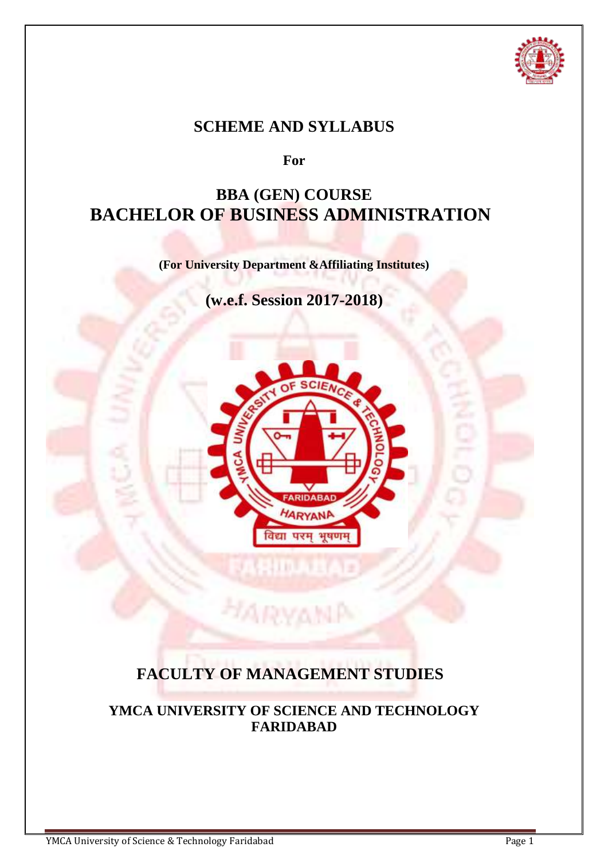![](_page_0_Picture_0.jpeg)

# **SCHEME AND SYLLABUS**

**For**

# **BBA (GEN) COURSE BACHELOR OF BUSINESS ADMINISTRATION**

**(For University Department &Affiliating Institutes)**

**(w.e.f. Session 2017-2018)**

![](_page_0_Picture_6.jpeg)

# **FACULTY OF MANAGEMENT STUDIES**

**HARYANA** 

# **YMCA UNIVERSITY OF SCIENCE AND TECHNOLOGY FARIDABAD**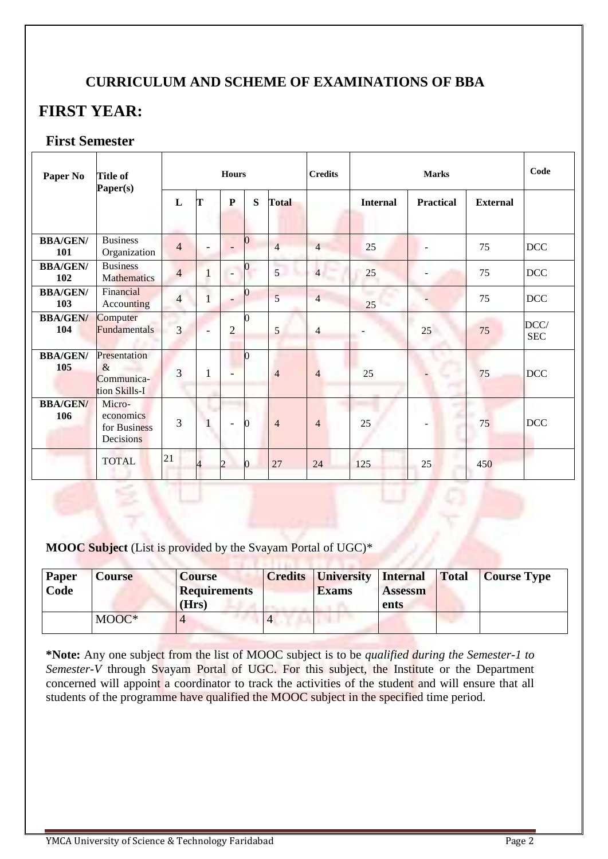# **CURRICULUM AND SCHEME OF EXAMINATIONS OF BBA**

# **FIRST YEAR:**

## **First Semester**

| Paper No               | <b>Title of</b><br>Paper(s)                         |                |                          | <b>Hours</b>             |              |                | <b>Credits</b> |                 |                  | Code            |                    |
|------------------------|-----------------------------------------------------|----------------|--------------------------|--------------------------|--------------|----------------|----------------|-----------------|------------------|-----------------|--------------------|
|                        |                                                     | L              | T                        | ${\bf P}$                | S            | <b>Total</b>   |                | <b>Internal</b> | <b>Practical</b> | <b>External</b> |                    |
| <b>BBA/GEN/</b><br>101 | <b>Business</b><br>Organization                     | $\overline{4}$ | $\overline{\phantom{0}}$ | $\overline{\phantom{a}}$ | $\Omega$     | $\overline{4}$ | $\overline{4}$ | 25              |                  | 75              | DCC                |
| <b>BBA/GEN/</b><br>102 | <b>Business</b><br><b>Mathematics</b>               | $\overline{4}$ |                          | $\overline{\phantom{0}}$ | 0            | 5              | $\overline{4}$ | 25              |                  | 75              | DCC                |
| <b>BBA/GEN/</b><br>103 | Financial<br>Accounting                             | 4              | $\mathbf{1}$             | $\overline{\phantom{0}}$ | 0            | 5              | $\overline{4}$ | 25              |                  | 75              | <b>DCC</b>         |
| <b>BBA/GEN/</b><br>104 | Computer<br>Fundamentals                            | 3              | $\overline{\phantom{0}}$ | $\overline{2}$           | <sup>o</sup> | 5              | $\overline{4}$ |                 | 25               | 75              | DCC/<br><b>SEC</b> |
| <b>BBA/GEN/</b><br>105 | Presentation<br>$\&$<br>Communica-<br>tion Skills-I | 3              | $\mathbf{1}$             | $\overline{\phantom{0}}$ | n            | $\overline{4}$ | $\overline{4}$ | 25              |                  | 75              | <b>DCC</b>         |
| <b>BBA/GEN/</b><br>106 | Micro-<br>economics<br>for Business<br>Decisions    | 3              | $\mathbf{1}$             | $\blacksquare$           | $\Omega$     | $\overline{4}$ | $\overline{4}$ | 25              |                  | 75              | DCC                |
|                        | <b>TOTAL</b>                                        | 21             |                          | n                        | 0            | 27             | 24             | 125             | 25               | 450             |                    |

**MOOC Subject** (List is provided by the Svayam Portal of UGC)\*

| Paper<br>Code | <b>Course</b> | <b>Course</b><br><b>Requirements</b><br>(Hrs) | <b>Credits University Internal</b><br><b>Exams</b> | <b>Assessm</b><br>ents | Total | <b>Course Type</b> |
|---------------|---------------|-----------------------------------------------|----------------------------------------------------|------------------------|-------|--------------------|
|               | MOOC*         |                                               |                                                    |                        |       |                    |

**\*Note:** Any one subject from the list of MOOC subject is to be *qualified during the Semester-1 to Semester-V* through Svayam Portal of UGC. For this subject, the Institute or the Department concerned will appoint a coordinator to track the activities of the student and will ensure that all students of the programme have qualified the MOOC subject in the specified time period.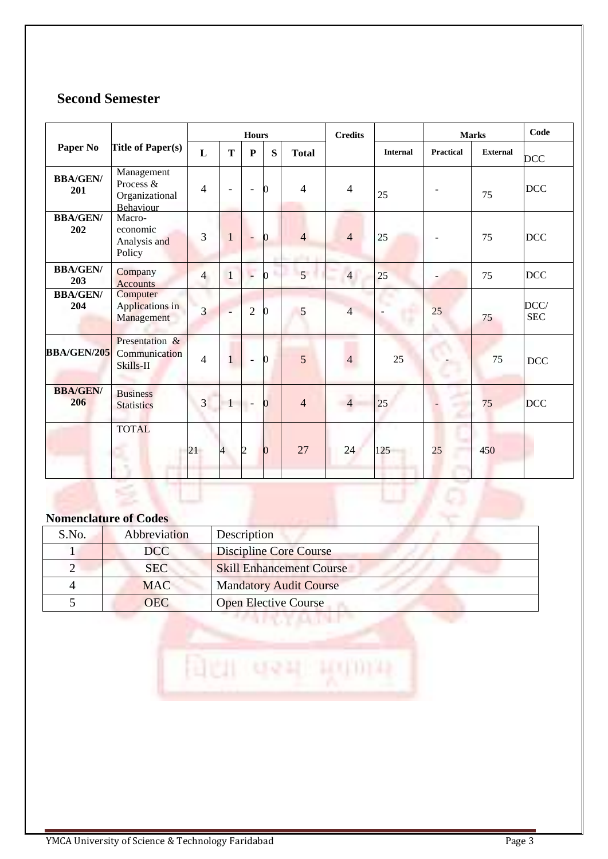# **Second Semester**

|                        |                                                        |                | <b>Hours</b>             |                          |                | <b>Credits</b> |                          | <b>Marks</b>    |                  | Code            |                    |
|------------------------|--------------------------------------------------------|----------------|--------------------------|--------------------------|----------------|----------------|--------------------------|-----------------|------------------|-----------------|--------------------|
| Paper No               | <b>Title of Paper(s)</b>                               | L              | T                        | $\mathbf P$              | ${\bf S}$      | <b>Total</b>   |                          | <b>Internal</b> | <b>Practical</b> | <b>External</b> | <b>DCC</b>         |
| <b>BBA/GEN/</b><br>201 | Management<br>Process &<br>Organizational<br>Behaviour | 4              | $\overline{\phantom{a}}$ | $\overline{\phantom{a}}$ | $\mathbf{0}$   | $\overline{4}$ | 4                        | 25              |                  | 75              | <b>DCC</b>         |
| <b>BBA/GEN/</b><br>202 | Macro-<br>economic<br>Analysis and<br>Policy           | 3              | $\mathbf{1}$             | $\overline{a}$           | $\overline{0}$ | $\overline{4}$ | $\overline{4}$           | 25              |                  | 75              | DCC                |
| <b>BBA/GEN/</b><br>203 | Company<br><b>Accounts</b>                             | $\overline{4}$ | $\overline{1}$           | Ч                        | $\bf{0}$       | 5 <sup>5</sup> | $\overline{\mathcal{L}}$ | 25              |                  | 75              | DCC                |
| <b>BBA/GEN/</b><br>204 | Computer<br>Applications in<br>Management              | $\overline{3}$ |                          | $\overline{2}$           | $\mathbf{0}$   | 5              | $\overline{4}$           |                 | 25               | 75              | DCC/<br><b>SEC</b> |
| <b>BBA/GEN/205</b>     | Presentation &<br>Communication<br>Skills-II           | $\overline{4}$ | $\mathbf{1}$             | $\overline{\phantom{a}}$ | $\mathbf{0}$   | 5              | $\overline{4}$           | 25              |                  | 75              | DCC                |
| <b>BBA/GEN/</b><br>206 | <b>Business</b><br><b>Statistics</b>                   | 3              | $\mathbf{1}$             | $\overline{\phantom{a}}$ | $\overline{0}$ | $\overline{4}$ | $\overline{4}$           | 25              |                  | 75              | <b>DCC</b>         |
|                        | <b>TOTAL</b>                                           | 21             | 4                        | 2                        | $\Omega$       | 27             | 24                       | 125             | 25               | 450             |                    |

# **Nomenclature of Codes**

3

| S.No. | Abbreviation | Description                     |
|-------|--------------|---------------------------------|
|       | <b>DCC</b>   | <b>Discipline Core Course</b>   |
|       | <b>SEC</b>   | <b>Skill Enhancement Course</b> |
|       | <b>MAC</b>   | <b>Mandatory Audit Course</b>   |
|       | OEC          | <b>Open Elective Course</b>     |
|       |              |                                 |

1000034

विद्या पश्म

 $\circ$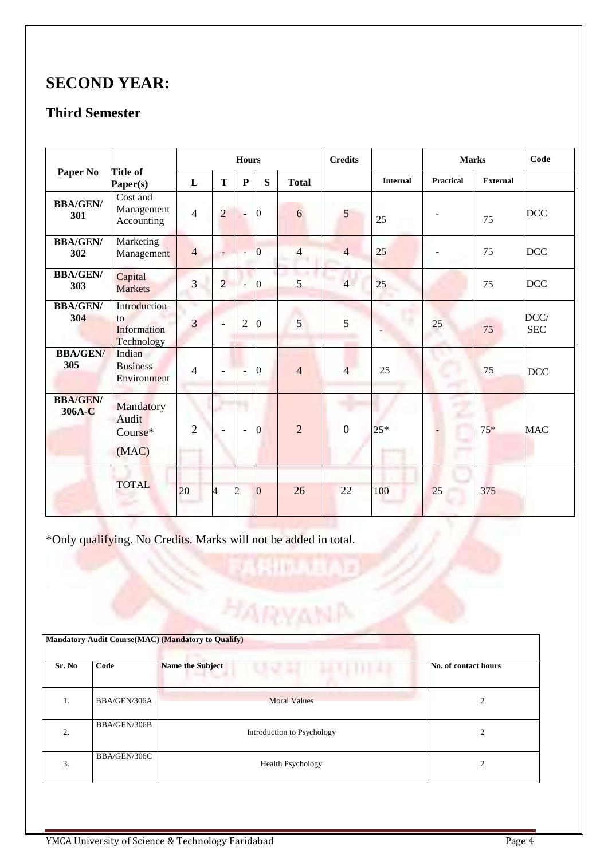# **SECOND YEAR:**

# **Third Semester**

|                           |                                                 |                |                          | <b>Hours</b>             |          |                | <b>Credits</b> |                 | <b>Marks</b>     |                 | Code               |
|---------------------------|-------------------------------------------------|----------------|--------------------------|--------------------------|----------|----------------|----------------|-----------------|------------------|-----------------|--------------------|
| Paper No                  | <b>Title of</b><br>Paper(s)                     | L              | T                        | ${\bf P}$                | S        | <b>Total</b>   |                | <b>Internal</b> | <b>Practical</b> | <b>External</b> |                    |
| <b>BBA/GEN/</b><br>301    | Cost and<br>Management<br>Accounting            | $\overline{4}$ | $\overline{2}$           | $\overline{\phantom{m}}$ | $\bf{0}$ | 6              | 5              | 25              |                  | 75              | <b>DCC</b>         |
| <b>BBA/GEN/</b><br>302    | Marketing<br>Management                         | $\overline{4}$ |                          | $\overline{\phantom{a}}$ | 0        | $\overline{4}$ | $\overline{4}$ | 25              |                  | 75              | <b>DCC</b>         |
| <b>BBA/GEN/</b><br>303    | Capital<br><b>Markets</b>                       | $\overline{3}$ | $\overline{2}$           | $\overline{a}$           | 0        | 5              | $\overline{4}$ | 25              |                  | 75              | <b>DCC</b>         |
| <b>BBA/GEN/</b><br>304    | Introduction<br>to<br>Information<br>Technology | 3              | $\overline{\phantom{a}}$ | $\overline{2}$           | 0        | 5              | 5              |                 | 25               | 75              | DCC/<br><b>SEC</b> |
| <b>BBA/GEN/</b><br>305    | Indian<br><b>Business</b><br>Environment        | $\overline{4}$ |                          | $\overline{\phantom{0}}$ | 0        | $\overline{4}$ | $\overline{4}$ | 25              |                  | 75              | <b>DCC</b>         |
| <b>BBA/GEN/</b><br>306A-C | Mandatory<br>Audit<br>Course*<br>(MAC)          | $\overline{2}$ | ۰                        | $\overline{\phantom{a}}$ | $\Omega$ | $\overline{2}$ | $\overline{0}$ | $25*$           |                  | $75*$           | <b>MAC</b>         |
|                           | <b>TOTAL</b>                                    | 20             | 4                        | $\mathfrak{D}$           | $\Omega$ | 26             | 22             | 100             | 25               | 375             |                    |

\*Only qualifying. No Credits. Marks will not be added in total.

|        | 24 R.V.A.N.P                                       |                            |                      |  |  |  |  |  |  |  |  |  |
|--------|----------------------------------------------------|----------------------------|----------------------|--|--|--|--|--|--|--|--|--|
|        | Mandatory Audit Course(MAC) (Mandatory to Qualify) |                            |                      |  |  |  |  |  |  |  |  |  |
| Sr. No | Code                                               | Name the Subject           | No. of contact hours |  |  |  |  |  |  |  |  |  |
| 1.     | BBA/GEN/306A                                       | <b>Moral Values</b>        | 2                    |  |  |  |  |  |  |  |  |  |
| 2.     | BBA/GEN/306B                                       | Introduction to Psychology | $\overline{c}$       |  |  |  |  |  |  |  |  |  |
| 3.     | BBA/GEN/306C                                       | <b>Health Psychology</b>   | 2                    |  |  |  |  |  |  |  |  |  |

**FARIDABAD**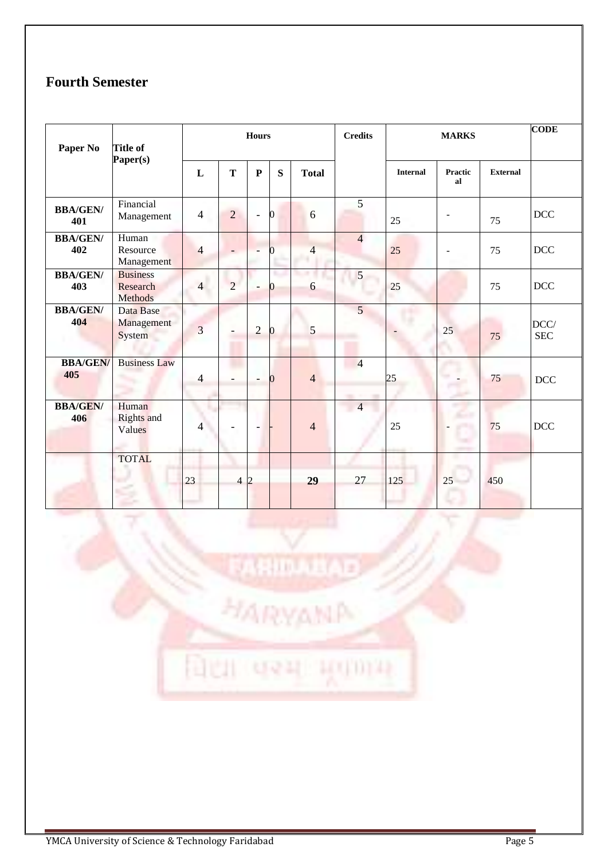# **Fourth Semester**

| Paper No               | <b>Title of</b>                               |                |                          | <b>Hours</b>             |                |                | <b>Credits</b> | <b>MARKS</b>    |               |                 | <b>CODE</b>        |
|------------------------|-----------------------------------------------|----------------|--------------------------|--------------------------|----------------|----------------|----------------|-----------------|---------------|-----------------|--------------------|
|                        | Paper(s)                                      | L              | T                        | $\mathbf{P}$             | S              | <b>Total</b>   |                | <b>Internal</b> | Practic<br>al | <b>External</b> |                    |
| <b>BBA/GEN/</b><br>401 | Financial<br>Management                       | $\overline{4}$ | $\overline{2}$           | $\blacksquare$           | 0              | 6              | 5              | 25              |               | 75              | <b>DCC</b>         |
| <b>BBA/GEN/</b><br>402 | Human<br>Resource<br>Management               | $\overline{4}$ | $\overline{\phantom{0}}$ |                          |                | $\overline{4}$ | $\overline{4}$ | 25              |               | 75              | <b>DCC</b>         |
| <b>BBA/GEN/</b><br>403 | <b>Business</b><br>Research<br><b>Methods</b> | $\overline{4}$ | $\overline{2}$           |                          |                | 6              | 5              | 25              |               | 75              | <b>DCC</b>         |
| <b>BBA/GEN/</b><br>404 | Data Base<br>Management<br><b>System</b>      | $\overline{3}$ |                          | $\overline{2}$           |                | 5              | 5              |                 | 25            | 75              | DCC/<br><b>SEC</b> |
| <b>BBA/GEN/</b><br>405 | <b>Business Law</b>                           | $\overline{4}$ |                          | $\overline{\phantom{a}}$ | $\overline{0}$ | $\overline{4}$ | $\overline{4}$ | 25              |               | 75              | <b>DCC</b>         |
| <b>BBA/GEN/</b><br>406 | Human<br><b>Rights</b> and<br>Values          | $\overline{4}$ |                          | $\overline{\phantom{a}}$ |                | $\overline{4}$ | $\overline{4}$ | 25              |               | 75              | <b>DCC</b>         |
|                        | <b>TOTAL</b>                                  | 23             | $\overline{4}$           | 2                        |                | 29             | 27             | 125             | 25            | 450             |                    |

# FARIDABAD

# **HARYANA** विद्या चरम मूर्णाम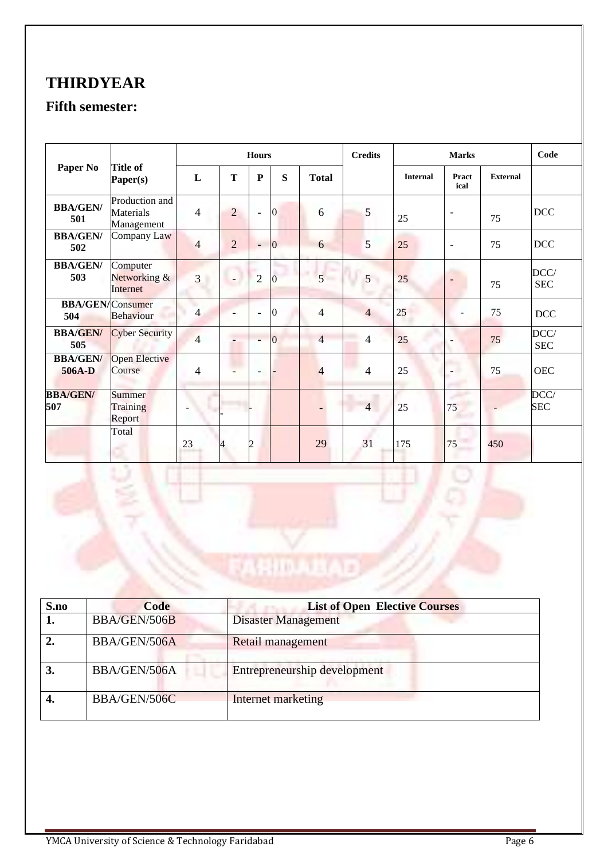# **THIRDYEAR**

# **Fifth semester:**

|                                |                                           |                |                          | <b>Hours</b>             |                 |                     | <b>Credits</b> | <b>Marks</b>    |                          |                 |                    |
|--------------------------------|-------------------------------------------|----------------|--------------------------|--------------------------|-----------------|---------------------|----------------|-----------------|--------------------------|-----------------|--------------------|
| Paper No                       | <b>Title of</b><br>Paper(s)               | L              | $\mathbf T$              | ${\bf P}$                | S               | <b>Total</b>        |                | <b>Internal</b> | Pract<br>ical            | <b>External</b> |                    |
| <b>BBA/GEN/</b><br>501         | Production and<br>Materials<br>Management | $\overline{4}$ | $\overline{2}$           | $\blacksquare$           | $\Omega$        | 6                   | 5              | 25              | $\overline{\phantom{a}}$ | 75              | DCC                |
| <b>BBA/GEN/</b><br>502         | Company Law                               | $\overline{4}$ | $\overline{2}$           | $\overline{a}$           | $\vert 0 \vert$ | 6                   | 5              | 25              | $\overline{\phantom{a}}$ | 75              | <b>DCC</b>         |
| <b>BBA/GEN/</b><br>503         | Computer<br>Networking &<br>Internet      | 3              | $\overline{\phantom{a}}$ | $\overline{2}$           | $\Omega$        | $\overline{5}$<br>× | 5              | 25              |                          | 75              | DCC/<br><b>SEC</b> |
| <b>BBA/GEN/Consumer</b><br>504 | Behaviour                                 | $\overline{4}$ | $\overline{\phantom{a}}$ | $\blacksquare$           | $\overline{0}$  | 4                   | $\overline{4}$ | 25              |                          | 75              | <b>DCC</b>         |
| <b>BBA/GEN/</b><br>505         | <b>Cyber Security</b>                     | $\overline{4}$ | $\overline{a}$           | $\overline{\phantom{a}}$ | $\overline{0}$  | $\overline{4}$      | 4              | 25              |                          | 75              | DCC/<br><b>SEC</b> |
| <b>BBA/GEN/</b><br>506A-D      | Open Elective<br>Course                   | 4              |                          | ۰                        |                 | $\overline{4}$      | 4              | 25              |                          | 75              | <b>OEC</b>         |
| <b>BBA/GEN/</b><br>507         | Summer<br>Training<br>Report              |                |                          |                          |                 |                     | $\overline{4}$ | 25              | 75                       |                 | DCC/<br>SEC        |
|                                | Total                                     | 23             |                          | 2                        |                 | 29                  | 31             | 175             | 75                       | 450             |                    |

# AHIDABAD

| S.no | <b>Code</b>  | <b>List of Open Elective Courses</b> |
|------|--------------|--------------------------------------|
|      | BBA/GEN/506B | <b>Disaster Management</b>           |
|      | BBA/GEN/506A | Retail management                    |
| 3.   | BBA/GEN/506A | Entrepreneurship development         |
|      | BBA/GEN/506C | Internet marketing                   |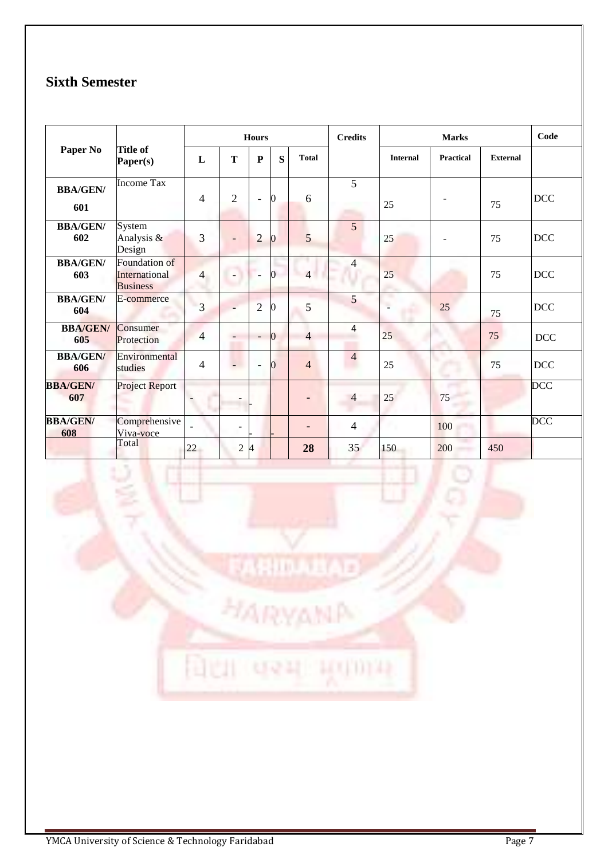# **Sixth Semester**

|                        |                                                   |                |                                      | <b>Hours</b>             |          |                | <b>Credits</b> | <b>Marks</b>         |                  |                 | Code       |
|------------------------|---------------------------------------------------|----------------|--------------------------------------|--------------------------|----------|----------------|----------------|----------------------|------------------|-----------------|------------|
| Paper No               | Title of<br>Paper(s)                              | L              | T                                    | $\mathbf{P}$             | S        | <b>Total</b>   |                | <b>Internal</b>      | <b>Practical</b> | <b>External</b> |            |
| <b>BBA/GEN/</b><br>601 | <b>Income Tax</b>                                 | $\overline{4}$ | $\overline{2}$                       | $\overline{\phantom{0}}$ | 0        | 6              | 5              | 25                   |                  | 75              | DCC        |
| <b>BBA/GEN/</b><br>602 | System<br>Analysis &<br>Design                    | 3              | $\overline{\phantom{a}}$             | $\overline{c}$           | 0        | 5              | 5              | 25                   |                  | 75              | DCC        |
| <b>BBA/GEN/</b><br>603 | Foundation of<br>International<br><b>Business</b> | $\overline{4}$ | $\qquad \qquad -$                    | $\overline{\phantom{a}}$ | $\Omega$ | $\overline{4}$ | $\overline{4}$ | 25                   |                  | 75              | DCC        |
| <b>BBA/GEN/</b><br>604 | E-commerce                                        | 3              |                                      | $\overline{2}$           | 0        | 5              | 5              | T.<br>$\overline{a}$ | 25               | 75              | DCC        |
| <b>BBA/GEN/</b><br>605 | Consumer<br>Protection                            | $\overline{4}$ | $\overline{\phantom{a}}$<br>$\cdots$ | $\overline{\phantom{a}}$ | $\bf{0}$ | $\overline{4}$ | 4              | 25                   |                  | 75              | DCC        |
| <b>BBA/GEN/</b><br>606 | Environmental<br>studies                          | 4              | $\overline{\phantom{0}}$             | $\overline{\phantom{a}}$ | 0        | $\overline{4}$ | $\overline{4}$ | 25                   |                  | 75              | DCC        |
| <b>BBA/GEN/</b><br>607 | <b>Project Report</b>                             |                |                                      |                          |          |                | $\overline{4}$ | 25                   | 75               |                 | <b>DCC</b> |
| <b>BBA/GEN/</b><br>608 | Comprehensive<br>Viva-voce                        |                | ٠                                    |                          |          |                | $\overline{4}$ |                      | 100              |                 | <b>DCC</b> |
|                        | Total                                             | 22             | $\overline{c}$                       | $\overline{A}$           |          | 28             | 35             | 150                  | 200              | 450             |            |

ARIDABAD

**HARYANA** 

विद्या चरम मूर्यणम्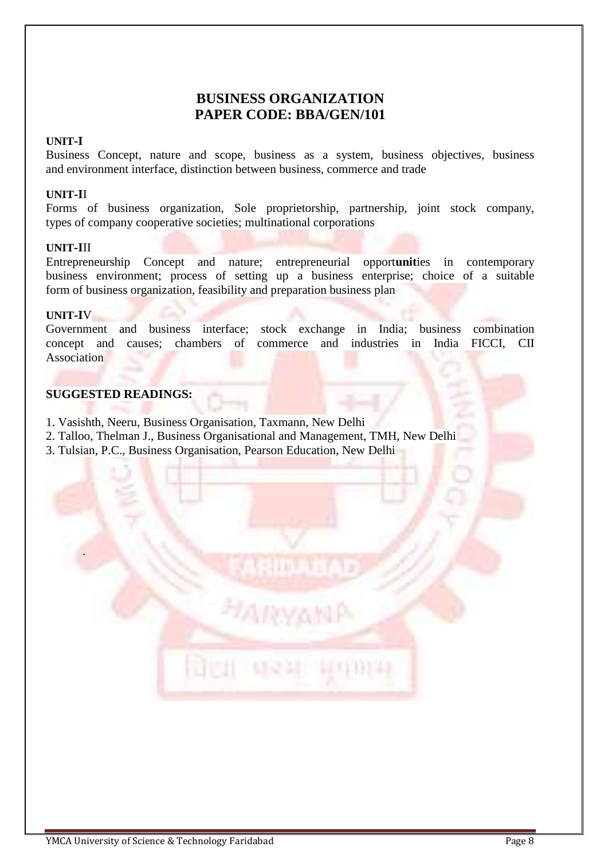# **BUSINESS ORGANIZATION PAPER CODE: BBA/GEN/101**

#### **UNIT-I**

Business Concept, nature and scope, business as a system, business objectives, business and environment interface, distinction between business, commerce and trade

#### **UNIT-I**I

Forms of business organization, Sole proprietorship, partnership, joint stock company, types of company cooperative societies; multinational corporations

#### **UNIT-I**II

Entrepreneurship Concept and nature; entrepreneurial opport**unit**ies in contemporary business environment; process of setting up a business enterprise; choice of a suitable form of business organization, feasibility and preparation business plan

#### **UNIT-I**V

.

Government and business interface; stock exchange in India; business combination concept and causes; chambers of commerce and industries in India FICCI, CII **Association** 

MARYANA

#### **SUGGESTED READINGS:**

- 1. Vasishth, Neeru, Business Organisation, Taxmann, New Delhi
- 2. Talloo, Thelman J., Business Organisational and Management, TMH, New Delhi

निधि एक्स

3. Tulsian, P.C., Business Organisation, Pearson Education, New Delhi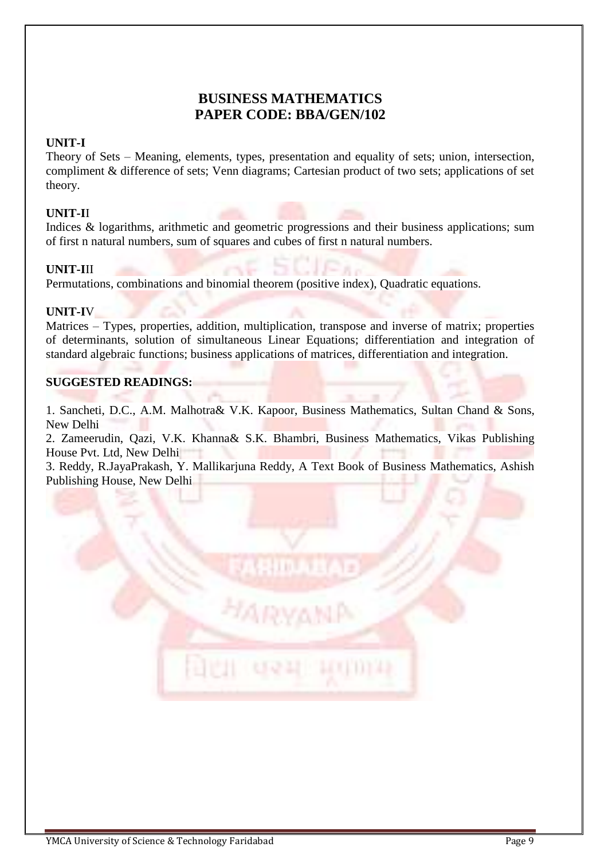# **BUSINESS MATHEMATICS PAPER CODE: BBA/GEN/102**

#### **UNIT-I**

Theory of Sets – Meaning, elements, types, presentation and equality of sets; union, intersection, compliment & difference of sets; Venn diagrams; Cartesian product of two sets; applications of set theory.

#### **UNIT-I**I

Indices & logarithms, arithmetic and geometric progressions and their business applications; sum of first n natural numbers, sum of squares and cubes of first n natural numbers.

#### **UNIT-I**II

Permutations, combinations and binomial theorem (positive index), Quadratic equations.

#### **UNIT-I**V

Matrices – Types, properties, addition, multiplication, transpose and inverse of matrix; properties of determinants, solution of simultaneous Linear Equations; differentiation and integration of standard algebraic functions; business applications of matrices, differentiation and integration.

#### **SUGGESTED READINGS:**

1. Sancheti, D.C., A.M. Malhotra& V.K. Kapoor, Business Mathematics, Sultan Chand & Sons, New Delhi

2. Zameerudin, Qazi, V.K. Khanna& S.K. Bhambri, Business Mathematics, Vikas Publishing House Pvt. Ltd, New Delhi

3. Reddy, R.JayaPrakash, Y. Mallikarjuna Reddy, A Text Book of Business Mathematics, Ashish Publishing House, New Delhi

MARYANI

मिला चरम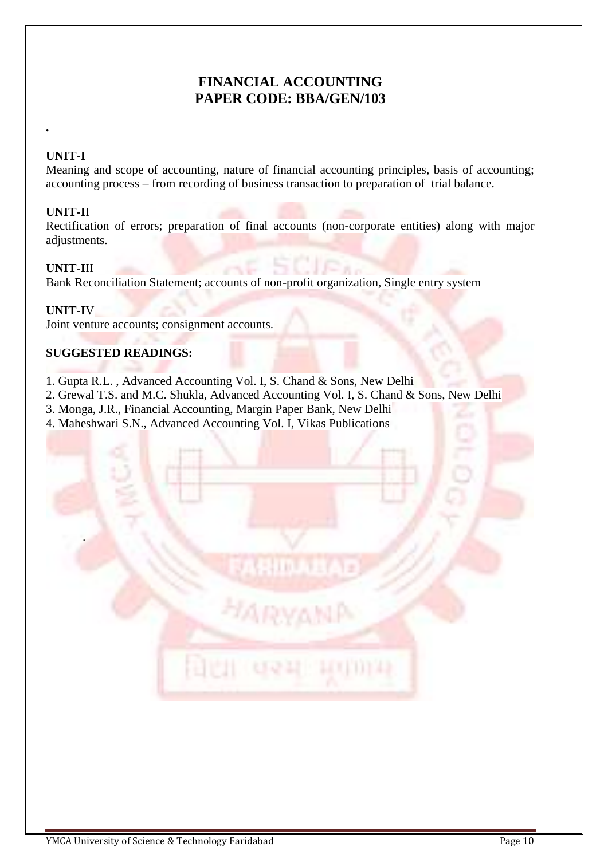# **FINANCIAL ACCOUNTING PAPER CODE: BBA/GEN/103**

#### **UNIT-I**

**.**

Meaning and scope of accounting, nature of financial accounting principles, basis of accounting; accounting process – from recording of business transaction to preparation of trial balance.

#### **UNIT-I**I

Rectification of errors; preparation of final accounts (non-corporate entities) along with major adjustments.

#### **UNIT-I**II

Bank Reconciliation Statement; accounts of non-profit organization, Single entry system

#### **UNIT-I**V

.

Joint venture accounts; consignment accounts.

#### **SUGGESTED READINGS:**

- 1. Gupta R.L. , Advanced Accounting Vol. I, S. Chand & Sons, New Delhi
- 2. Grewal T.S. and M.C. Shukla, Advanced Accounting Vol. I, S. Chand & Sons, New Delhi

*MRYANI* 

धिक्षा एकम

- 3. Monga, J.R., Financial Accounting, Margin Paper Bank, New Delhi
- 4. Maheshwari S.N., Advanced Accounting Vol. I, Vikas Publications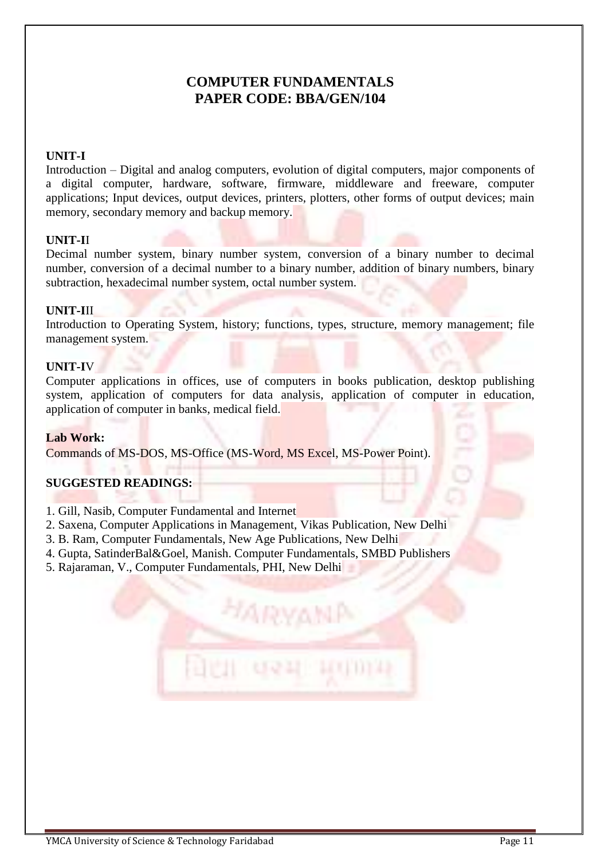# **COMPUTER FUNDAMENTALS PAPER CODE: BBA/GEN/104**

#### **UNIT-I**

Introduction – Digital and analog computers, evolution of digital computers, major components of a digital computer, hardware, software, firmware, middleware and freeware, computer applications; Input devices, output devices, printers, plotters, other forms of output devices; main memory, secondary memory and backup memory.

#### **UNIT-I**I

Decimal number system, binary number system, conversion of a binary number to decimal number, conversion of a decimal number to a binary number, addition of binary numbers, binary subtraction, hexadecimal number system, octal number system.

#### **UNIT-I**II

Introduction to Operating System, history; functions, types, structure, memory management; file management system.

#### **UNIT-I**V

Computer applications in offices, use of computers in books publication, desktop publishing system, application of computers for data analysis, application of computer in education, application of computer in banks, medical field.

MARYANA

<u> 라이트 브로브 - HI</u>

#### **Lab Work:**

Commands of MS-DOS, MS-Office (MS-Word, MS Excel, MS-Power Point).

- 1. Gill, Nasib, Computer Fundamental and Internet
- 2. Saxena, Computer Applications in Management, Vikas Publication, New Delhi
- 3. B. Ram, Computer Fundamentals, New Age Publications, New Delhi
- 4. Gupta, SatinderBal&Goel, Manish. Computer Fundamentals, SMBD Publishers
- 5. Rajaraman, V., Computer Fundamentals, PHI, New Delhi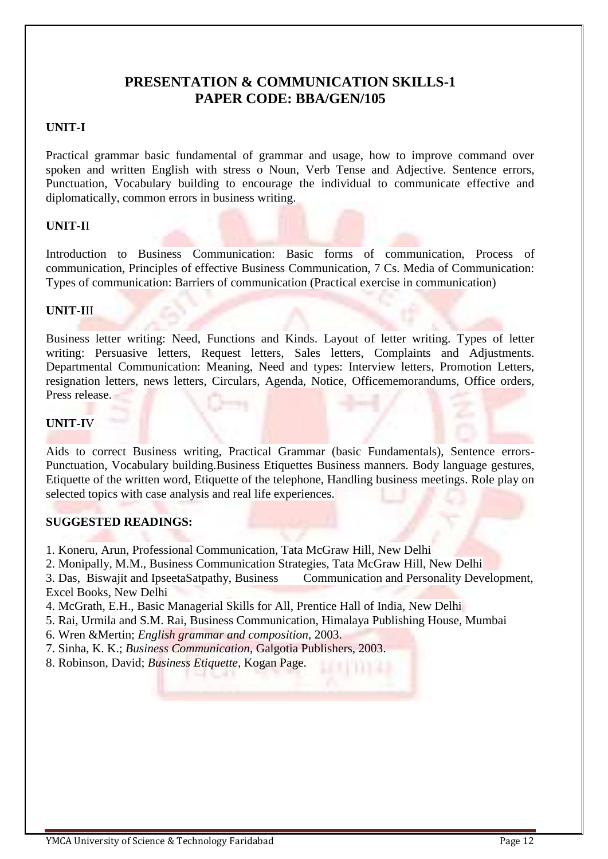# **PRESENTATION & COMMUNICATION SKILLS-1 PAPER CODE: BBA/GEN/105**

#### **UNIT-I**

Practical grammar basic fundamental of grammar and usage, how to improve command over spoken and written English with stress o Noun, Verb Tense and Adjective. Sentence errors, Punctuation, Vocabulary building to encourage the individual to communicate effective and diplomatically, common errors in business writing.

#### **UNIT-I**I

Introduction to Business Communication: Basic forms of communication, Process of communication, Principles of effective Business Communication, 7 Cs. Media of Communication: Types of communication: Barriers of communication (Practical exercise in communication)

#### **UNIT-I**II

Business letter writing: Need, Functions and Kinds. Layout of letter writing. Types of letter writing: Persuasive letters, Request letters, Sales letters, Complaints and Adjustments. Departmental Communication: Meaning, Need and types: Interview letters, Promotion Letters, resignation letters, news letters, Circulars, Agenda, Notice, Officememorandums, Office orders, Press release.

#### **UNIT-I**V

Aids to correct Business writing, Practical Grammar (basic Fundamentals), Sentence errors-Punctuation, Vocabulary building.Business Etiquettes Business manners. Body language gestures, Etiquette of the written word, Etiquette of the telephone, Handling business meetings. Role play on selected topics with case analysis and real life experiences.

#### **SUGGESTED READINGS:**

1. Koneru, Arun, Professional Communication, Tata McGraw Hill, New Delhi

2. Monipally, M.M., Business Communication Strategies, Tata McGraw Hill, New Delhi

3. Das, Biswajit and IpseetaSatpathy, Business Communication and Personality Development, Excel Books, New Delhi

4. McGrath, E.H., Basic Managerial Skills for All, Prentice Hall of India, New Delhi

5. Rai, Urmila and S.M. Rai, Business Communication, Himalaya Publishing House, Mumbai

6. Wren &Mertin; *English grammar and composition*, 2003.

7. Sinha, K. K.; *Business Communication,* Galgotia Publishers, 2003.

8. Robinson, David; *Business Etiquette,* Kogan Page.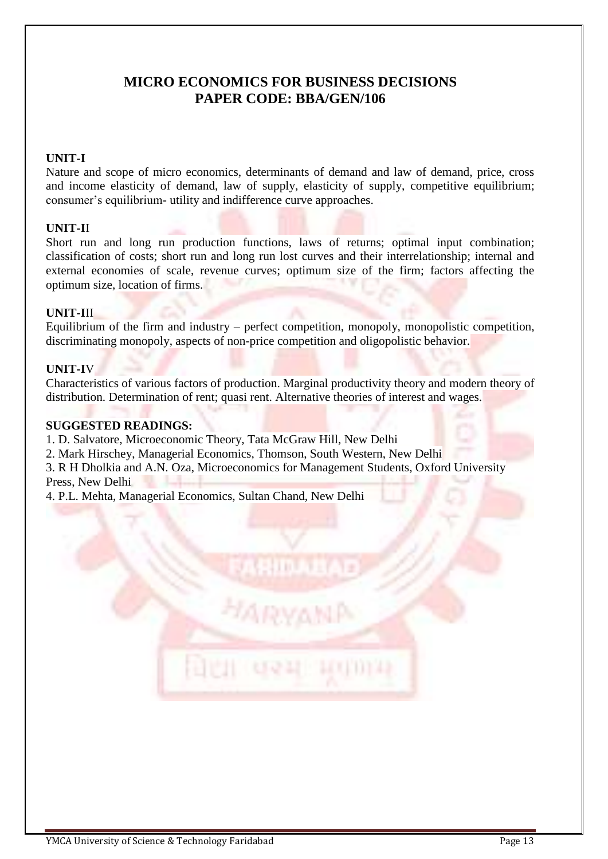# **MICRO ECONOMICS FOR BUSINESS DECISIONS PAPER CODE: BBA/GEN/106**

#### **UNIT-I**

Nature and scope of micro economics, determinants of demand and law of demand, price, cross and income elasticity of demand, law of supply, elasticity of supply, competitive equilibrium; consumer's equilibrium- utility and indifference curve approaches.

#### **UNIT-I**I

Short run and long run production functions, laws of returns; optimal input combination; classification of costs; short run and long run lost curves and their interrelationship; internal and external economies of scale, revenue curves; optimum size of the firm; factors affecting the optimum size, location of firms.

#### **UNIT-I**II

Equilibrium of the firm and industry – perfect competition, monopoly, monopolistic competition, discriminating monopoly, aspects of non-price competition and oligopolistic behavior.

#### **UNIT-I**V

Characteristics of various factors of production. Marginal productivity theory and modern theory of distribution. Determination of rent; quasi rent. Alternative theories of interest and wages.

#### **SUGGESTED READINGS:**

- 1. D. Salvatore, Microeconomic Theory, Tata McGraw Hill, New Delhi
- 2. Mark Hirschey, Managerial Economics, Thomson, South Western, New Delhi
- 3. R H Dholkia and A.N. Oza, Microeconomics for Management Students, Oxford University Press, New Delhi

MARYANI

धेक्षा चरम

4. P.L. Mehta, Managerial Economics, Sultan Chand, New Delhi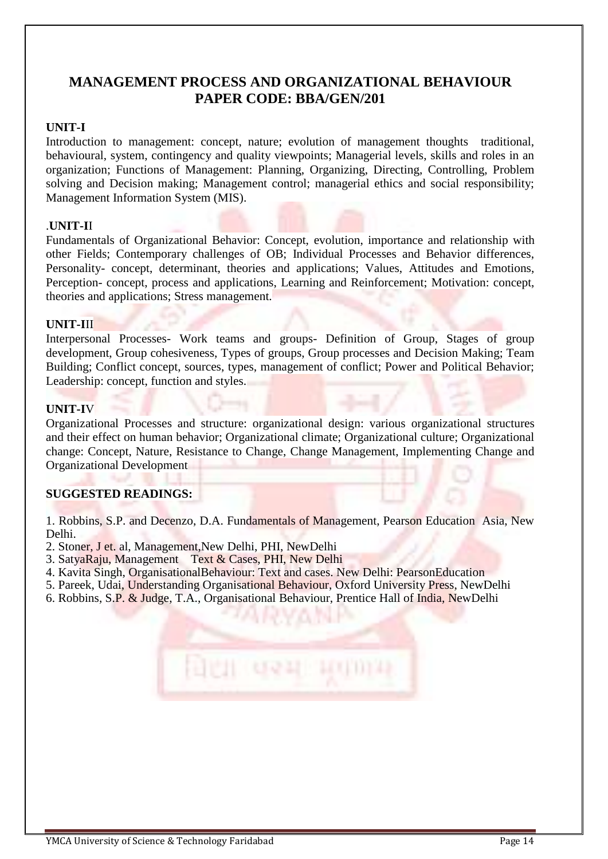# **MANAGEMENT PROCESS AND ORGANIZATIONAL BEHAVIOUR PAPER CODE: BBA/GEN/201**

#### **UNIT-I**

Introduction to management: concept, nature; evolution of management thoughts traditional, behavioural, system, contingency and quality viewpoints; Managerial levels, skills and roles in an organization; Functions of Management: Planning, Organizing, Directing, Controlling, Problem solving and Decision making; Management control; managerial ethics and social responsibility; Management Information System (MIS).

#### .**UNIT-I**I

Fundamentals of Organizational Behavior: Concept, evolution, importance and relationship with other Fields; Contemporary challenges of OB; Individual Processes and Behavior differences, Personality- concept, determinant, theories and applications; Values, Attitudes and Emotions, Perception- concept, process and applications, Learning and Reinforcement; Motivation: concept, theories and applications; Stress management.

#### **UNIT-I**II

Interpersonal Processes- Work teams and groups- Definition of Group, Stages of group development, Group cohesiveness, Types of groups, Group processes and Decision Making; Team Building; Conflict concept, sources, types, management of conflict; Power and Political Behavior; Leadership: concept, function and styles.

#### **UNIT-I**V

Organizational Processes and structure: organizational design: various organizational structures and their effect on human behavior; Organizational climate; Organizational culture; Organizational change: Concept, Nature, Resistance to Change, Change Management, Implementing Change and Organizational Development

#### **SUGGESTED READINGS:**

1. Robbins, S.P. and Decenzo, D.A. Fundamentals of Management, Pearson Education Asia, New Delhi.

- 2. Stoner, J et. al, Management,New Delhi, PHI, NewDelhi
- 3. SatyaRaju, Management Text & Cases, PHI, New Delhi
- 4. Kavita Singh, OrganisationalBehaviour: Text and cases. New Delhi: PearsonEducation

대리 비리

- 5. Pareek, Udai, Understanding Organisational Behaviour, Oxford University Press, NewDelhi
- 6. Robbins, S.P. & Judge, T.A., Organisational Behaviour, Prentice Hall of India, NewDelhi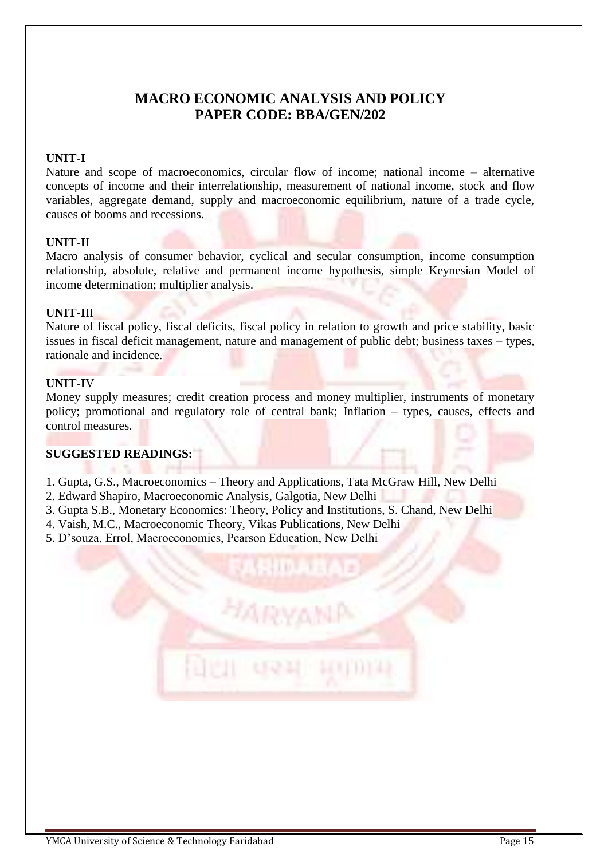# **MACRO ECONOMIC ANALYSIS AND POLICY PAPER CODE: BBA/GEN/202**

#### **UNIT-I**

Nature and scope of macroeconomics, circular flow of income; national income – alternative concepts of income and their interrelationship, measurement of national income, stock and flow variables, aggregate demand, supply and macroeconomic equilibrium, nature of a trade cycle, causes of booms and recessions.

#### **UNIT-I**I

Macro analysis of consumer behavior, cyclical and secular consumption, income consumption relationship, absolute, relative and permanent income hypothesis, simple Keynesian Model of income determination; multiplier analysis.

#### **UNIT-I**II

Nature of fiscal policy, fiscal deficits, fiscal policy in relation to growth and price stability, basic issues in fiscal deficit management, nature and management of public debt; business taxes – types, rationale and incidence.

#### **UNIT-I**V

Money supply measures; credit creation process and money multiplier, instruments of monetary policy; promotional and regulatory role of central bank; Inflation – types, causes, effects and control measures.

**Bim Aff Ar** 

MARYANA

चिता चरम म

- 1. Gupta, G.S., Macroeconomics Theory and Applications, Tata McGraw Hill, New Delhi
- 2. Edward Shapiro, Macroeconomic Analysis, Galgotia, New Delhi
- 3. Gupta S.B., Monetary Economics: Theory, Policy and Institutions, S. Chand, New Delhi
- 4. Vaish, M.C., Macroeconomic Theory, Vikas Publications, New Delhi
- 5. D'souza, Errol, Macroeconomics, Pearson Education, New Delhi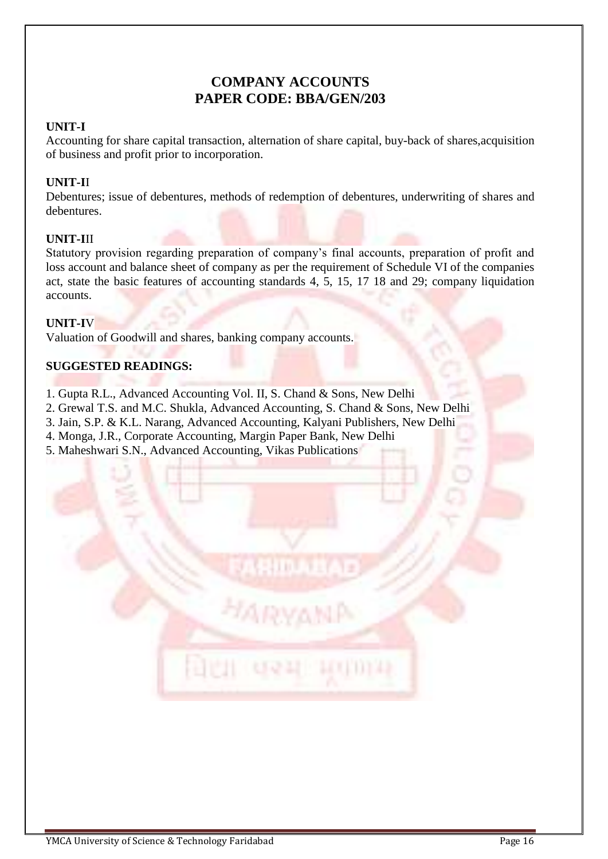# **COMPANY ACCOUNTS PAPER CODE: BBA/GEN/203**

#### **UNIT-I**

Accounting for share capital transaction, alternation of share capital, buy-back of shares,acquisition of business and profit prior to incorporation.

#### **UNIT-I**I

Debentures; issue of debentures, methods of redemption of debentures, underwriting of shares and debentures.

#### **UNIT-I**II

Statutory provision regarding preparation of company's final accounts, preparation of profit and loss account and balance sheet of company as per the requirement of Schedule VI of the companies act, state the basic features of accounting standards 4, 5, 15, 17 18 and 29; company liquidation accounts.

#### **UNIT-I**V

Valuation of Goodwill and shares, banking company accounts.

#### **SUGGESTED READINGS:**

1. Gupta R.L., Advanced Accounting Vol. II, S. Chand & Sons, New Delhi

2. Grewal T.S. and M.C. Shukla, Advanced Accounting, S. Chand & Sons, New Delhi

MARYANI

धिक्षा परम

- 3. Jain, S.P. & K.L. Narang, Advanced Accounting, Kalyani Publishers, New Delhi
- 4. Monga, J.R., Corporate Accounting, Margin Paper Bank, New Delhi
- 5. Maheshwari S.N., Advanced Accounting, Vikas Publications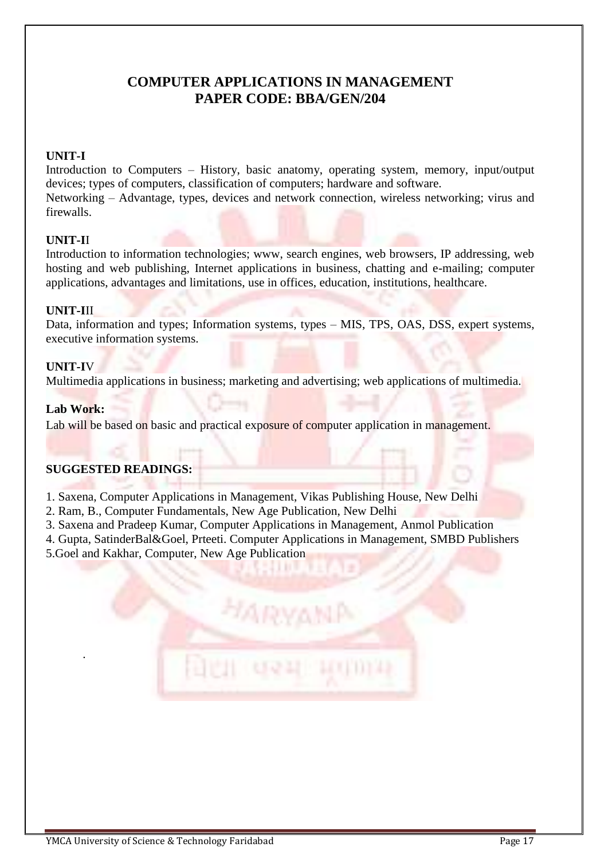# **COMPUTER APPLICATIONS IN MANAGEMENT PAPER CODE: BBA/GEN/204**

#### **UNIT-I**

Introduction to Computers – History, basic anatomy, operating system, memory, input/output devices; types of computers, classification of computers; hardware and software. Networking – Advantage, types, devices and network connection, wireless networking; virus and firewalls.

#### **UNIT-I**I

Introduction to information technologies; www, search engines, web browsers, IP addressing, web hosting and web publishing, Internet applications in business, chatting and e-mailing; computer applications, advantages and limitations, use in offices, education, institutions, healthcare.

#### **UNIT-I**II

Data, information and types; Information systems, types – MIS, TPS, OAS, DSS, expert systems, executive information systems.

#### **UNIT-I**V

Multimedia applications in business; marketing and advertising; web applications of multimedia.

#### **Lab Work:**

.

Lab will be based on basic and practical exposure of computer application in management.

#### **SUGGESTED READINGS:**

1. Saxena, Computer Applications in Management, Vikas Publishing House, New Delhi

- 2. Ram, B., Computer Fundamentals, New Age Publication, New Delhi
- 3. Saxena and Pradeep Kumar, Computer Applications in Management, Anmol Publication
- 4. Gupta, SatinderBal&Goel, Prteeti. Computer Applications in Management, SMBD Publishers

MARYANI

ग्रीडी खरम

5.Goel and Kakhar, Computer, New Age Publication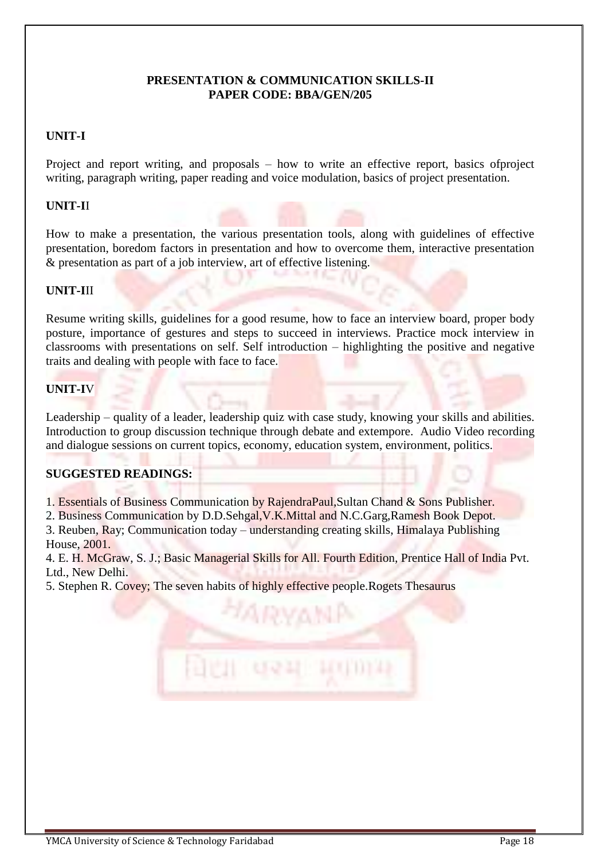#### **PRESENTATION & COMMUNICATION SKILLS-II PAPER CODE: BBA/GEN/205**

#### **UNIT-I**

Project and report writing, and proposals – how to write an effective report, basics ofproject writing, paragraph writing, paper reading and voice modulation, basics of project presentation.

#### **UNIT-I**I

How to make a presentation, the various presentation tools, along with guidelines of effective presentation, boredom factors in presentation and how to overcome them, interactive presentation & presentation as part of a job interview, art of effective listening.

#### **UNIT-I**II

Resume writing skills, guidelines for a good resume, how to face an interview board, proper body posture, importance of gestures and steps to succeed in interviews. Practice mock interview in classrooms with presentations on self. Self introduction – highlighting the positive and negative traits and dealing with people with face to face.

#### **UNIT-I**V

Leadership – quality of a leader, leadership quiz with case study, knowing your skills and abilities. Introduction to group discussion technique through debate and extempore. Audio Video recording and dialogue sessions on current topics, economy, education system, environment, politics.

#### **SUGGESTED READINGS:**

1. Essentials of Business Communication by RajendraPaul, Sultan Chand & Sons Publisher.

2. Business Communication by D.D.Sehgal, V.K.Mittal and N.C.Garg, Ramesh Book Depot.

3. Reuben, Ray; Communication today – understanding creating skills, Himalaya Publishing House, 2001.

4. E. H. McGraw, S. J.; Basic Managerial Skills for All. Fourth Edition, Prentice Hall of India Pvt. Ltd., New Delhi.

MARYANA

विद्या परम मणण

5. Stephen R. Covey; The seven habits of highly effective people.Rogets Thesaurus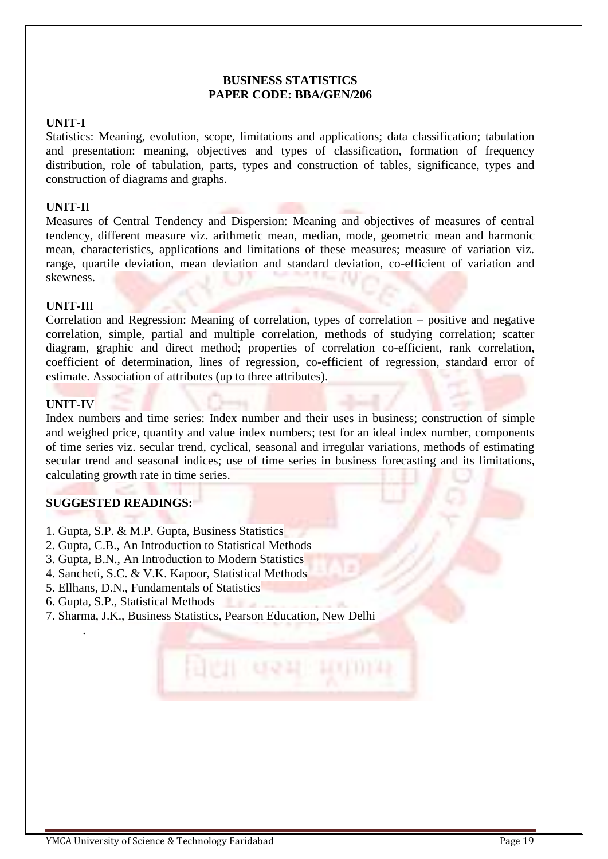#### **BUSINESS STATISTICS PAPER CODE: BBA/GEN/206**

#### **UNIT-I**

Statistics: Meaning, evolution, scope, limitations and applications; data classification; tabulation and presentation: meaning, objectives and types of classification, formation of frequency distribution, role of tabulation, parts, types and construction of tables, significance, types and construction of diagrams and graphs.

#### **UNIT-I**I

Measures of Central Tendency and Dispersion: Meaning and objectives of measures of central tendency, different measure viz. arithmetic mean, median, mode, geometric mean and harmonic mean, characteristics, applications and limitations of these measures; measure of variation viz. range, quartile deviation, mean deviation and standard deviation, co-efficient of variation and skewness.

#### **UNIT-I**II

Correlation and Regression: Meaning of correlation, types of correlation – positive and negative correlation, simple, partial and multiple correlation, methods of studying correlation; scatter diagram, graphic and direct method; properties of correlation co-efficient, rank correlation, coefficient of determination, lines of regression, co-efficient of regression, standard error of estimate. Association of attributes (up to three attributes).

#### **UNIT-I**V

Index numbers and time series: Index number and their uses in business; construction of simple and weighed price, quantity and value index numbers; test for an ideal index number, components of time series viz. secular trend, cyclical, seasonal and irregular variations, methods of estimating secular trend and seasonal indices; use of time series in business forecasting and its limitations, calculating growth rate in time series.

#### **SUGGESTED READINGS:**

- 1. Gupta, S.P. & M.P. Gupta, Business Statistics
- 2. Gupta, C.B., An Introduction to Statistical Methods
- 3. Gupta, B.N., An Introduction to Modern Statistics
- 4. Sancheti, S.C. & V.K. Kapoor, Statistical Methods
- 5. Ellhans, D.N., Fundamentals of Statistics
- 6. Gupta, S.P., Statistical Methods

.

7. Sharma, J.K., Business Statistics, Pearson Education, New Delhi

田山 ( いマヨーロ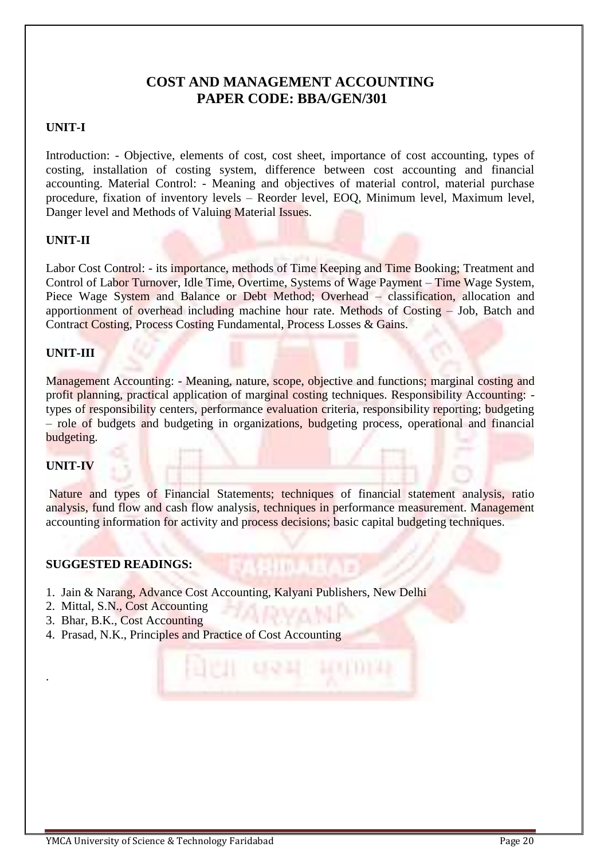# **COST AND MANAGEMENT ACCOUNTING PAPER CODE: BBA/GEN/301**

#### **UNIT-I**

Introduction: - Objective, elements of cost, cost sheet, importance of cost accounting, types of costing, installation of costing system, difference between cost accounting and financial accounting. Material Control: - Meaning and objectives of material control, material purchase procedure, fixation of inventory levels – Reorder level, EOQ, Minimum level, Maximum level, Danger level and Methods of Valuing Material Issues.

#### **UNIT-II**

Labor Cost Control: - its importance, methods of Time Keeping and Time Booking; Treatment and Control of Labor Turnover, Idle Time, Overtime, Systems of Wage Payment – Time Wage System, Piece Wage System and Balance or Debt Method; Overhead – classification, allocation and apportionment of overhead including machine hour rate. Methods of Costing – Job, Batch and Contract Costing, Process Costing Fundamental, Process Losses & Gains.

#### **UNIT-III**

Management Accounting: - Meaning, nature, scope, objective and functions; marginal costing and profit planning, practical application of marginal costing techniques. Responsibility Accounting: types of responsibility centers, performance evaluation criteria, responsibility reporting; budgeting – role of budgets and budgeting in organizations, budgeting process, operational and financial budgeting.

#### **UNIT-IV**

.

Nature and types of Financial Statements; techniques of financial statement analysis, ratio analysis, fund flow and cash flow analysis, techniques in performance measurement. Management accounting information for activity and process decisions; basic capital budgeting techniques.

**THE NAME** 

#### **SUGGESTED READINGS:**

1. Jain & Narang, Advance Cost Accounting, Kalyani Publishers, New Delhi

담범는 다리다

- 2. Mittal, S.N., Cost Accounting
- 3. Bhar, B.K., Cost Accounting
- 4. Prasad, N.K., Principles and Practice of Cost Accounting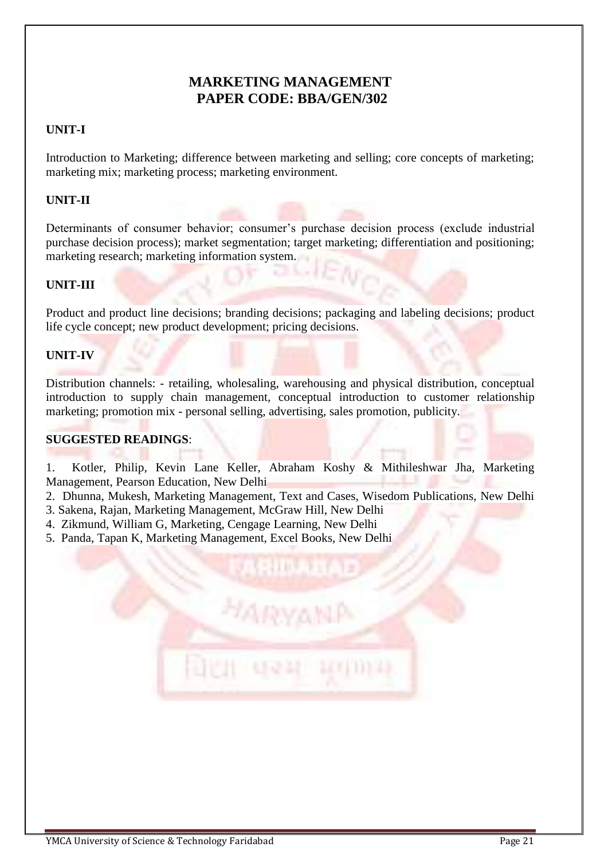# **MARKETING MANAGEMENT PAPER CODE: BBA/GEN/302**

#### **UNIT-I**

Introduction to Marketing; difference between marketing and selling; core concepts of marketing; marketing mix; marketing process; marketing environment.

#### **UNIT-II**

Determinants of consumer behavior; consumer's purchase decision process (exclude industrial purchase decision process); market segmentation; target marketing; differentiation and positioning; marketing research; marketing information system.

#### **UNIT-III**

Product and product line decisions; branding decisions; packaging and labeling decisions; product life cycle concept; new product development; pricing decisions.

#### **UNIT-IV**

Distribution channels: - retailing, wholesaling, warehousing and physical distribution, conceptual introduction to supply chain management, conceptual introduction to customer relationship marketing; promotion mix - personal selling, advertising, sales promotion, publicity.

#### **SUGGESTED READINGS**:

1. Kotler, Philip, Kevin Lane Keller, Abraham Koshy & Mithileshwar Jha, Marketing Management, Pearson Education, New Delhi

2. Dhunna, Mukesh, Marketing Management, Text and Cases, Wisedom Publications, New Delhi

MARYANA

चिक्षा परम म

**Cimanar** 

- 3. Sakena, Rajan, Marketing Management, McGraw Hill, New Delhi
- 4. Zikmund, William G, Marketing, Cengage Learning, New Delhi
- 5. Panda, Tapan K, Marketing Management, Excel Books, New Delhi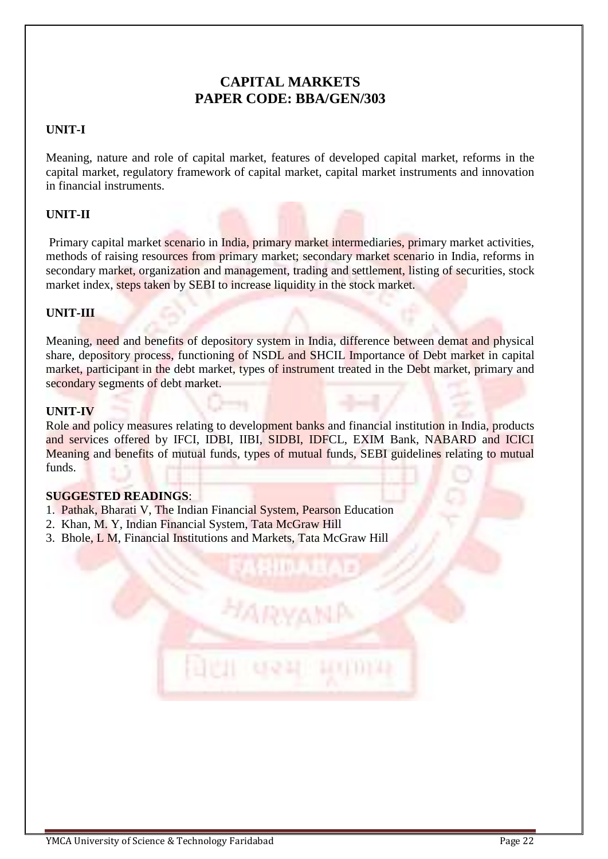# **CAPITAL MARKETS PAPER CODE: BBA/GEN/303**

#### **UNIT-I**

Meaning, nature and role of capital market, features of developed capital market, reforms in the capital market, regulatory framework of capital market, capital market instruments and innovation in financial instruments.

#### **UNIT-II**

Primary capital market scenario in India, primary market intermediaries, primary market activities, methods of raising resources from primary market; secondary market scenario in India, reforms in secondary market, organization and management, trading and settlement, listing of securities, stock market index, steps taken by SEBI to increase liquidity in the stock market.

#### **UNIT-III**

Meaning, need and benefits of depository system in India, difference between demat and physical share, depository process, functioning of NSDL and SHCIL Importance of Debt market in capital market, participant in the debt market, types of instrument treated in the Debt market, primary and secondary segments of debt market.

#### **UNIT-IV**

Role and policy measures relating to development banks and financial institution in India, products and services offered by IFCI, IDBI, IIBI, SIDBI, IDFCL, EXIM Bank, NABARD and ICICI Meaning and benefits of mutual funds, types of mutual funds, SEBI guidelines relating to mutual funds.

**CULARAD** 

MARYANA

चिक्षा परम म

- 1. Pathak, Bharati V, The Indian Financial System, Pearson Education
- 2. Khan, M. Y, Indian Financial System, Tata McGraw Hill
- 3. Bhole, L M, Financial Institutions and Markets, Tata McGraw Hill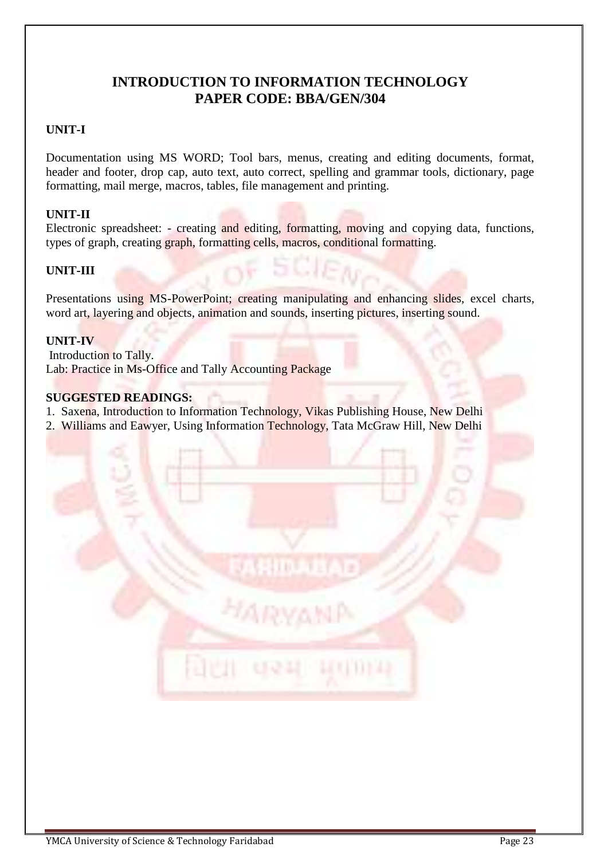# **INTRODUCTION TO INFORMATION TECHNOLOGY PAPER CODE: BBA/GEN/304**

#### **UNIT-I**

Documentation using MS WORD; Tool bars, menus, creating and editing documents, format, header and footer, drop cap, auto text, auto correct, spelling and grammar tools, dictionary, page formatting, mail merge, macros, tables, file management and printing.

#### **UNIT-II**

Electronic spreadsheet: - creating and editing, formatting, moving and copying data, functions, types of graph, creating graph, formatting cells, macros, conditional formatting.

#### **UNIT-III**

Presentations using MS-PowerPoint; creating manipulating and enhancing slides, excel charts, word art, layering and objects, animation and sounds, inserting pictures, inserting sound.

**Internet** 

MARYANA

विद्या परम म्

#### **UNIT-IV**

Introduction to Tally. Lab: Practice in Ms-Office and Tally Accounting Package

- 1. Saxena, Introduction to Information Technology, Vikas Publishing House, New Delhi
- 2. Williams and Eawyer, Using Information Technology, Tata McGraw Hill, New Delhi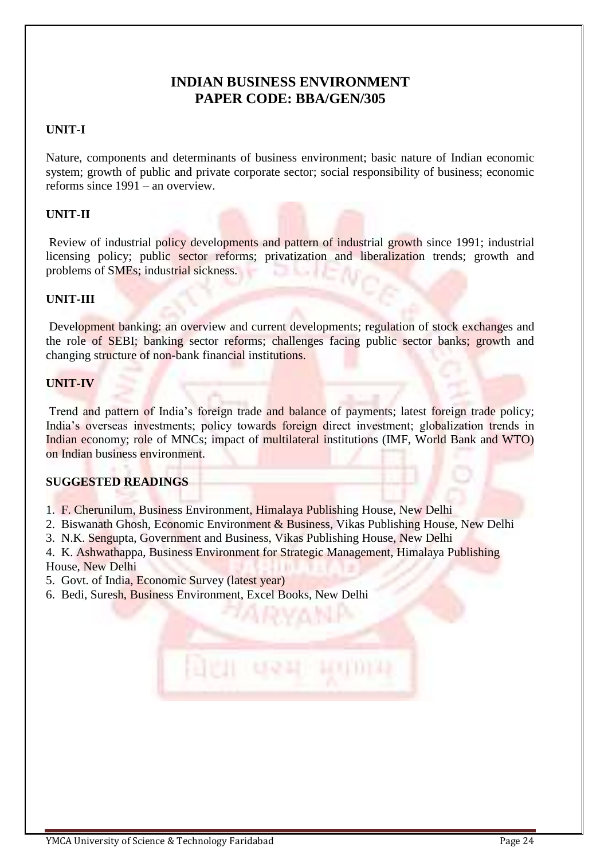# **INDIAN BUSINESS ENVIRONMENT PAPER CODE: BBA/GEN/305**

#### **UNIT-I**

Nature, components and determinants of business environment; basic nature of Indian economic system; growth of public and private corporate sector; social responsibility of business; economic reforms since 1991 – an overview.

#### **UNIT-II**

Review of industrial policy developments and pattern of industrial growth since 1991; industrial licensing policy; public sector reforms; privatization and liberalization trends; growth and problems of SMEs; industrial sickness.

#### **UNIT-III**

Development banking: an overview and current developments; regulation of stock exchanges and the role of SEBI; banking sector reforms; challenges facing public sector banks; growth and changing structure of non-bank financial institutions.

#### **UNIT-IV**

Trend and pattern of India's foreign trade and balance of payments; latest foreign trade policy; India's overseas investments; policy towards foreign direct investment; globalization trends in Indian economy; role of MNCs; impact of multilateral institutions (IMF, World Bank and WTO) on Indian business environment.

#### **SUGGESTED READINGS**

- 1. F. Cherunilum, Business Environment, Himalaya Publishing House, New Delhi
- 2. Biswanath Ghosh, Economic Environment & Business, Vikas Publishing House, New Delhi
- 3. N.K. Sengupta, Government and Business, Vikas Publishing House, New Delhi

चित्रा परम

- 4. K. Ashwathappa, Business Environment for Strategic Management, Himalaya Publishing House, New Delhi
- 5. Govt. of India, Economic Survey (latest year)
- 6. Bedi, Suresh, Business Environment, Excel Books, New Delhi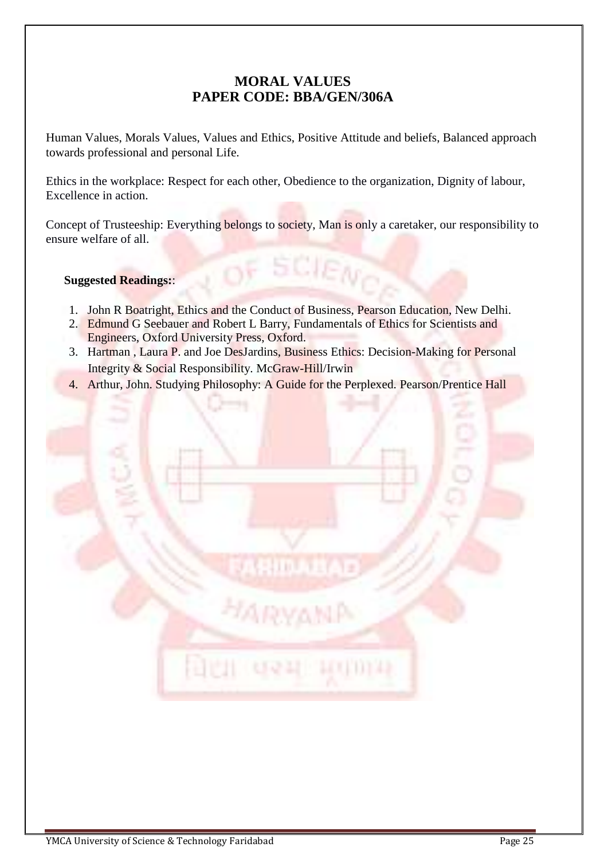# **MORAL VALUES PAPER CODE: BBA/GEN/306A**

Human Values, Morals Values, Values and Ethics, Positive Attitude and beliefs, Balanced approach towards professional and personal Life.

Ethics in the workplace: Respect for each other, Obedience to the organization, Dignity of labour, Excellence in action.

Concept of Trusteeship: Everything belongs to society, Man is only a caretaker, our responsibility to ensure welfare of all.

SCIEN

#### **Suggested Readings:**:

- 1. John R Boatright, Ethics and the Conduct of Business, Pearson Education, New Delhi.
- 2. Edmund G Seebauer and Robert L Barry, Fundamentals of Ethics for Scientists and Engineers, Oxford University Press, Oxford.
- 3. Hartman, Laura P. and Joe DesJardins, Business Ethics: Decision-Making for Personal Integrity & Social Responsibility. McGraw-Hill/Irwin
- 4. Arthur, John. Studying Philosophy: A Guide for the Perplexed. Pearson/Prentice Hall

निर्माणस्य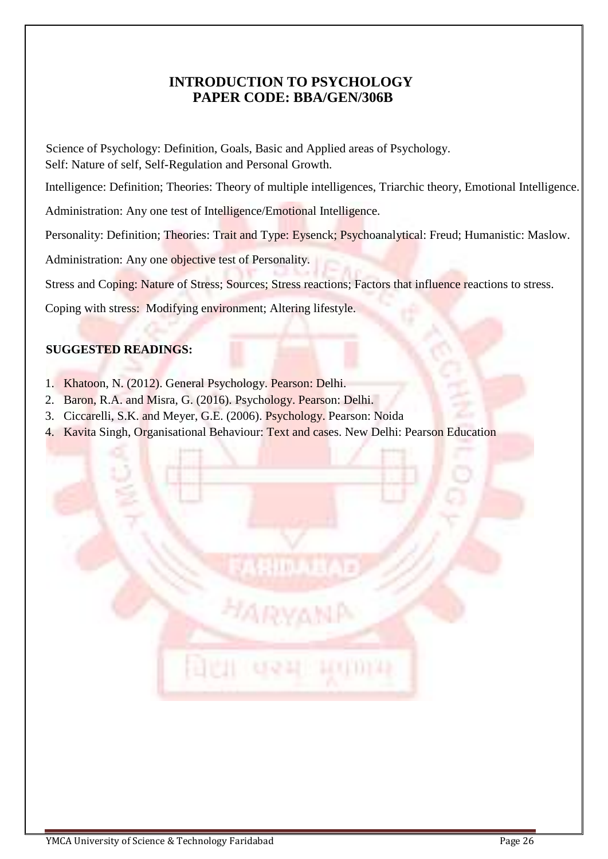# **INTRODUCTION TO PSYCHOLOGY PAPER CODE: BBA/GEN/306B**

Science of Psychology: Definition, Goals, Basic and Applied areas of Psychology. Self: Nature of self, Self-Regulation and Personal Growth.

Intelligence: Definition; Theories: Theory of multiple intelligences, Triarchic theory, Emotional Intelligence.

Administration: Any one test of Intelligence/Emotional Intelligence.

Personality: Definition; Theories: Trait and Type: Eysenck; Psychoanalytical: Freud; Humanistic: Maslow.

Administration: Any one objective test of Personality.

Stress and Coping: Nature of Stress; Sources; Stress reactions; Factors that influence reactions to stress.

Coping with stress: Modifying environment; Altering lifestyle.

#### **SUGGESTED READINGS:**

- 1. Khatoon, N. (2012). General Psychology. Pearson: Delhi.
- 2. Baron, R.A. and Misra, G. (2016). Psychology. Pearson: Delhi.
- 3. Ciccarelli, S.K. and Meyer, G.E. (2006). Psychology. Pearson: Noida
- 4. Kavita Singh, Organisational Behaviour: Text and cases. New Delhi: Pearson Education

MARYANI

चिक्षा चरम म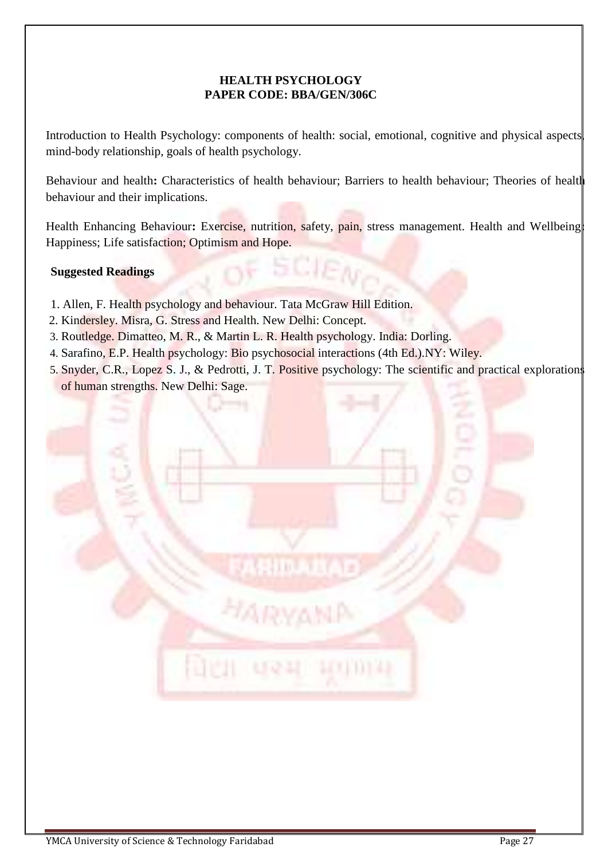#### **HEALTH PSYCHOLOGY PAPER CODE: BBA/GEN/306C**

Introduction to Health Psychology: components of health: social, emotional, cognitive and physical aspects mind-body relationship, goals of health psychology.

Behaviour and health**:** Characteristics of health behaviour; Barriers to health behaviour; Theories of health behaviour and their implications.

Health Enhancing Behaviour**:** Exercise, nutrition, safety, pain, stress management. Health and Wellbeing**:**  Happiness; Life satisfaction; Optimism and Hope.

#### **Suggested Readings**

- 1. Allen, F. Health psychology and behaviour. Tata McGraw Hill Edition.
- 2. Kindersley. Misra, G. Stress and Health. New Delhi: Concept.
- 3. Routledge. Dimatteo, M. R., & Martin L. R. Health psychology. India: Dorling.
- 4. Sarafino, E.P. Health psychology: Bio psychosocial interactions (4th Ed.).NY: Wiley.

*MRYANI* 

विद्या परम

5. Snyder, C.R., Lopez S. J., & Pedrotti, J. T. Positive psychology: The scientific and practical explorations of human strengths. New Delhi: Sage.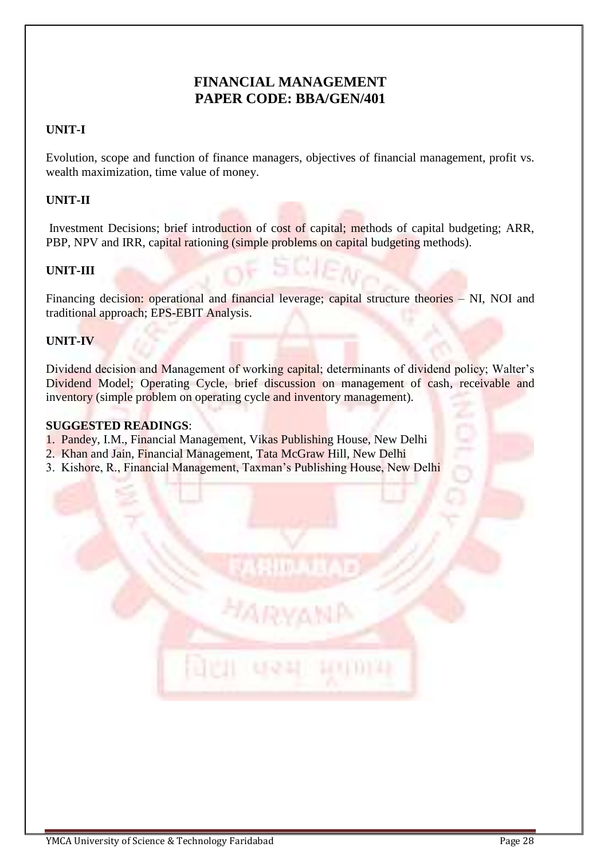# **FINANCIAL MANAGEMENT PAPER CODE: BBA/GEN/401**

#### **UNIT-I**

Evolution, scope and function of finance managers, objectives of financial management, profit vs. wealth maximization, time value of money.

#### **UNIT-II**

Investment Decisions; brief introduction of cost of capital; methods of capital budgeting; ARR, PBP, NPV and IRR, capital rationing (simple problems on capital budgeting methods).

#### **UNIT-III**

Financing decision: operational and financial leverage; capital structure theories – NI, NOI and traditional approach; EPS-EBIT Analysis.

#### **UNIT-IV**

Dividend decision and Management of working capital; determinants of dividend policy; Walter's Dividend Model; Operating Cycle, brief discussion on management of cash, receivable and inventory (simple problem on operating cycle and inventory management).

MARYANI

#### **SUGGESTED READINGS**:

- 1. Pandey, I.M., Financial Management, Vikas Publishing House, New Delhi
- 2. Khan and Jain, Financial Management, Tata McGraw Hill, New Delhi
- 3. Kishore, R., Financial Management, Taxman's Publishing House, New Delhi

धिक्षा एकम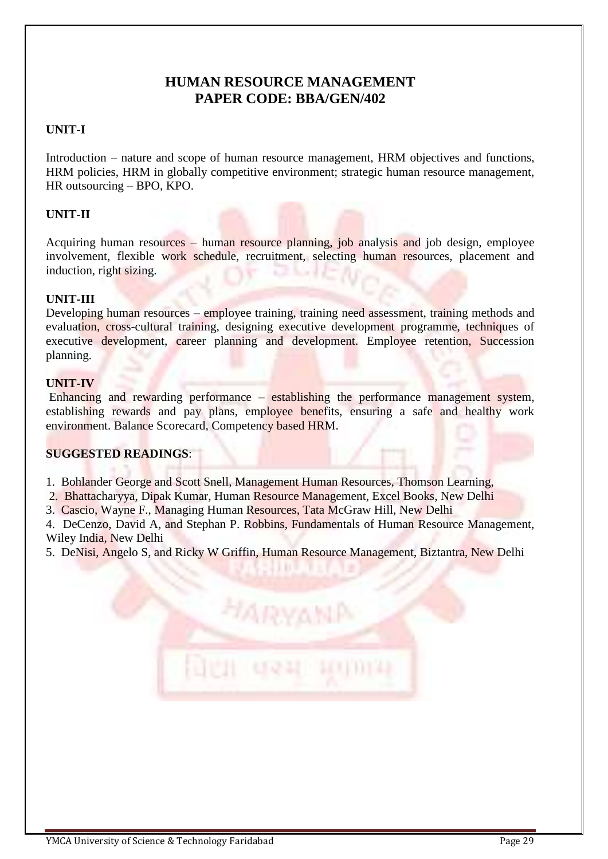# **HUMAN RESOURCE MANAGEMENT PAPER CODE: BBA/GEN/402**

#### **UNIT-I**

Introduction – nature and scope of human resource management, HRM objectives and functions, HRM policies, HRM in globally competitive environment; strategic human resource management, HR outsourcing – BPO, KPO.

#### **UNIT-II**

Acquiring human resources – human resource planning, job analysis and job design, employee involvement, flexible work schedule, recruitment, selecting human resources, placement and induction, right sizing.

#### **UNIT-III**

Developing human resources – employee training, training need assessment, training methods and evaluation, cross-cultural training, designing executive development programme, techniques of executive development, career planning and development. Employee retention, Succession planning.

#### **UNIT-IV**

Enhancing and rewarding performance – establishing the performance management system, establishing rewards and pay plans, employee benefits, ensuring a safe and healthy work environment. Balance Scorecard, Competency based HRM.

#### **SUGGESTED READINGS**:

1. Bohlander George and Scott Snell, Management Human Resources, Thomson Learning,

2. Bhattacharyya, Dipak Kumar, Human Resource Management, Excel Books, New Delhi

3. Cascio, Wayne F., Managing Human Resources, Tata McGraw Hill, New Delhi

धिक्षा परम

4. DeCenzo, David A, and Stephan P. Robbins, Fundamentals of Human Resource Management, Wiley India, New Delhi

5. DeNisi, Angelo S, and Ricky W Griffin, Human Resource Management, Biztantra, New Delhi

MARYANA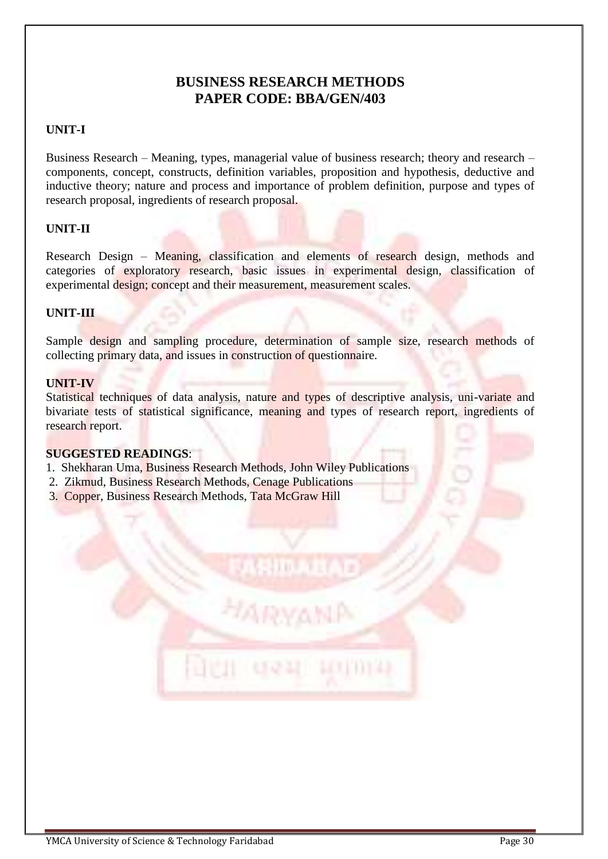# **BUSINESS RESEARCH METHODS PAPER CODE: BBA/GEN/403**

#### **UNIT-I**

Business Research – Meaning, types, managerial value of business research; theory and research – components, concept, constructs, definition variables, proposition and hypothesis, deductive and inductive theory; nature and process and importance of problem definition, purpose and types of research proposal, ingredients of research proposal.

#### **UNIT-II**

Research Design – Meaning, classification and elements of research design, methods and categories of exploratory research, basic issues in experimental design, classification of experimental design; concept and their measurement, measurement scales.

#### **UNIT-III**

Sample design and sampling procedure, determination of sample size, research methods of collecting primary data, and issues in construction of questionnaire.

#### **UNIT-IV**

Statistical techniques of data analysis, nature and types of descriptive analysis, uni-variate and bivariate tests of statistical significance, meaning and types of research report, ingredients of research report.

MARYANI

धी है। सरस

- 1. Shekharan Uma, Business Research Methods, John Wiley Publications
- 2. Zikmud, Business Research Methods, Cenage Publications
- 3. Copper, Business Research Methods, Tata McGraw Hill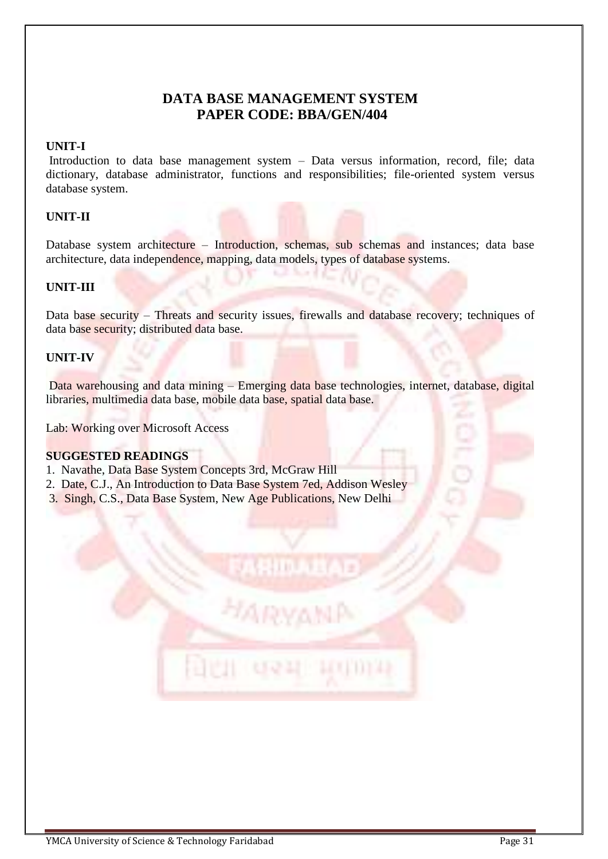# **DATA BASE MANAGEMENT SYSTEM PAPER CODE: BBA/GEN/404**

#### **UNIT-I**

Introduction to data base management system – Data versus information, record, file; data dictionary, database administrator, functions and responsibilities; file-oriented system versus database system.

#### **UNIT-II**

Database system architecture – Introduction, schemas, sub schemas and instances; data base architecture, data independence, mapping, data models, types of database systems.

#### **UNIT-III**

Data base security – Threats and security issues, firewalls and database recovery; techniques of data base security; distributed data base.

#### **UNIT-IV**

Data warehousing and data mining – Emerging data base technologies, internet, database, digital libraries, multimedia data base, mobile data base, spatial data base.

**HILAHAR** 

MARYANA

विद्या परम म

Lab: Working over Microsoft Access

- 1. Navathe, Data Base System Concepts 3rd, McGraw Hill
- 2. Date, C.J., An Introduction to Data Base System 7ed, Addison Wesley
- 3. Singh, C.S., Data Base System, New Age Publications, New Delhi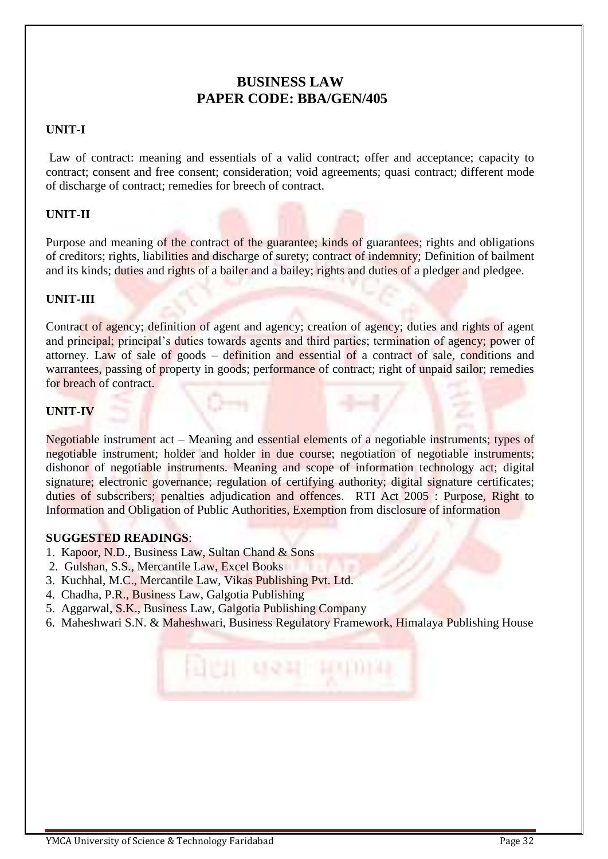# **BUSINESS LAW PAPER CODE: BBA/GEN/405**

#### **UNIT-I**

Law of contract: meaning and essentials of a valid contract; offer and acceptance; capacity to contract; consent and free consent; consideration; void agreements; quasi contract; different mode of discharge of contract; remedies for breech of contract.

#### **UNIT-II**

Purpose and meaning of the contract of the guarantee; kinds of guarantees; rights and obligations of creditors; rights, liabilities and discharge of surety; contract of indemnity; Definition of bailment and its kinds; duties and rights of a bailer and a bailey; rights and duties of a pledger and pledgee.

#### **UNIT-III**

Contract of agency; definition of agent and agency; creation of agency; duties and rights of agent and principal; principal's duties towards agents and third parties; termination of agency; power of attorney. Law of sale of goods – definition and essential of a contract of sale, conditions and warrantees, passing of property in goods; performance of contract; right of unpaid sailor; remedies for breach of contract.

#### **UNIT-IV**

Negotiable instrument act – Meaning and essential elements of a negotiable instruments; types of negotiable instrument; holder and holder in due course; negotiation of negotiable instruments; dishonor of negotiable instruments. Meaning and scope of information technology act; digital signature; electronic governance; regulation of certifying authority; digital signature certificates; duties of subscribers; penalties adjudication and offences. RTI Act 2005 : Purpose, Right to Information and Obligation of Public Authorities, Exemption from disclosure of information

- 1. Kapoor, N.D., Business Law, Sultan Chand & Sons
- 2. Gulshan, S.S., Mercantile Law, Excel Books
- 3. Kuchhal, M.C., Mercantile Law, Vikas Publishing Pvt. Ltd.
- 4. Chadha, P.R., Business Law, Galgotia Publishing
- 5. Aggarwal, S.K., Business Law, Galgotia Publishing Company
- 6. Maheshwari S.N. & Maheshwari, Business Regulatory Framework, Himalaya Publishing House

![](_page_31_Picture_16.jpeg)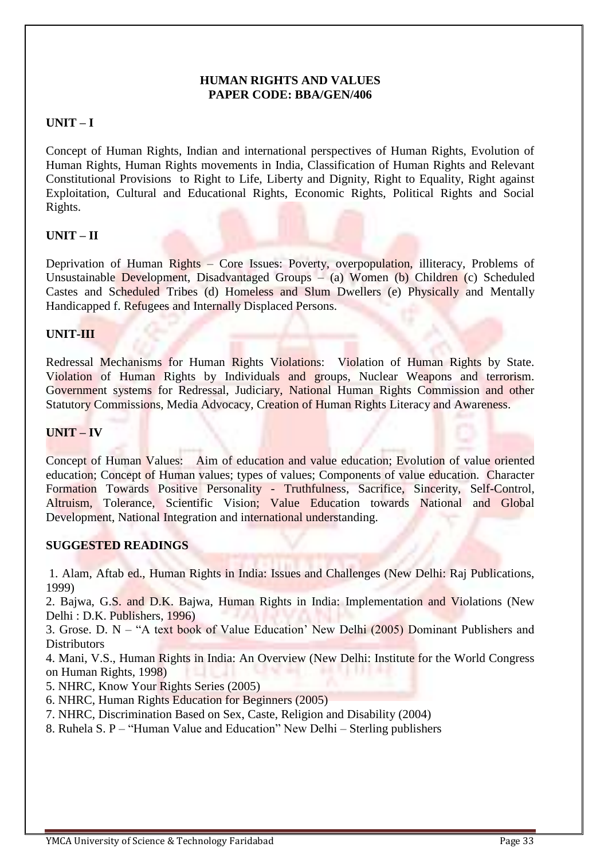#### **HUMAN RIGHTS AND VALUES PAPER CODE: BBA/GEN/406**

#### **UNIT – I**

Concept of Human Rights, Indian and international perspectives of Human Rights, Evolution of Human Rights, Human Rights movements in India, Classification of Human Rights and Relevant Constitutional Provisions to Right to Life, Liberty and Dignity, Right to Equality, Right against Exploitation, Cultural and Educational Rights, Economic Rights, Political Rights and Social Rights.

#### **UNIT – II**

Deprivation of Human Rights – Core Issues: Poverty, overpopulation, illiteracy, Problems of Unsustainable Development, Disadvantaged Groups – (a) Women (b) Children (c) Scheduled Castes and Scheduled Tribes (d) Homeless and Slum Dwellers (e) Physically and Mentally Handicapped f. Refugees and Internally Displaced Persons.

#### **UNIT-III**

Redressal Mechanisms for Human Rights Violations: Violation of Human Rights by State. Violation of Human Rights by Individuals and groups, Nuclear Weapons and terrorism. Government systems for Redressal, Judiciary, National Human Rights Commission and other Statutory Commissions, Media Advocacy, Creation of Human Rights Literacy and Awareness.

#### **UNIT – IV**

Concept of Human Values: Aim of education and value education; Evolution of value oriented education; Concept of Human values; types of values; Components of value education. Character Formation Towards Positive Personality - Truthfulness, Sacrifice, Sincerity, Self-Control, Altruism, Tolerance, Scientific Vision; Value Education towards National and Global Development, National Integration and international understanding.

#### **SUGGESTED READINGS**

1. Alam, Aftab ed., Human Rights in India: Issues and Challenges (New Delhi: Raj Publications, 1999)

2. Bajwa, G.S. and D.K. Bajwa, Human Rights in India: Implementation and Violations (New Delhi : D.K. Publishers, 1996)

3. Grose. D. N – "A text book of Value Education' New Delhi (2005) Dominant Publishers and **Distributors** 

4. Mani, V.S., Human Rights in India: An Overview (New Delhi: Institute for the World Congress on Human Rights, 1998)

- 5. NHRC, Know Your Rights Series (2005)
- 6. NHRC, Human Rights Education for Beginners (2005)
- 7. NHRC, Discrimination Based on Sex, Caste, Religion and Disability (2004)
- 8. Ruhela S. P "Human Value and Education" New Delhi Sterling publishers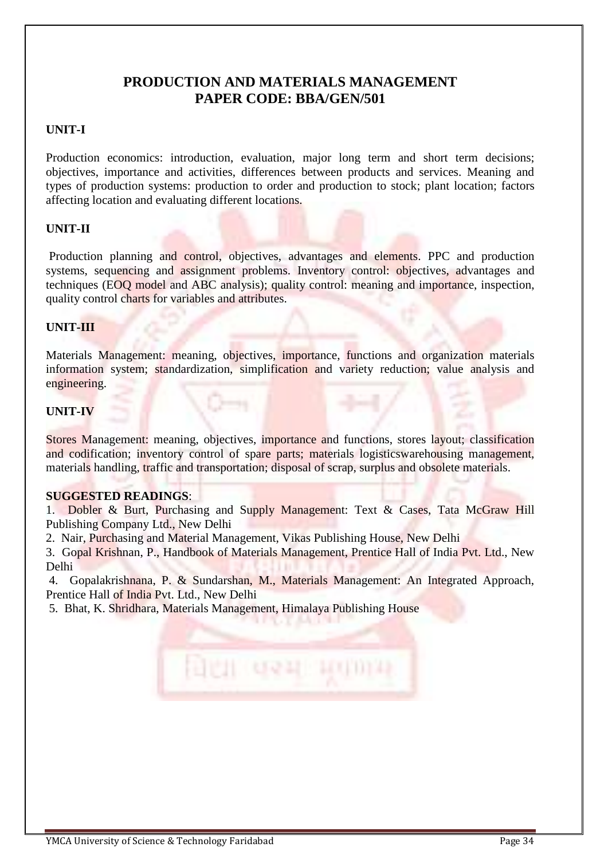# **PRODUCTION AND MATERIALS MANAGEMENT PAPER CODE: BBA/GEN/501**

#### **UNIT-I**

Production economics: introduction, evaluation, major long term and short term decisions; objectives, importance and activities, differences between products and services. Meaning and types of production systems: production to order and production to stock; plant location; factors affecting location and evaluating different locations.

#### **UNIT-II**

Production planning and control, objectives, advantages and elements. PPC and production systems, sequencing and assignment problems. Inventory control: objectives, advantages and techniques (EOQ model and ABC analysis); quality control: meaning and importance, inspection, quality control charts for variables and attributes.

#### **UNIT-III**

Materials Management: meaning, objectives, importance, functions and organization materials information system; standardization, simplification and variety reduction; value analysis and engineering.

#### **UNIT-IV**

Stores Management: meaning, objectives, importance and functions, stores layout; classification and codification; inventory control of spare parts; materials logisticswarehousing management, materials handling, traffic and transportation; disposal of scrap, surplus and obsolete materials.

#### **SUGGESTED READINGS**:

1. Dobler & Burt, Purchasing and Supply Management: Text & Cases, Tata McGraw Hill Publishing Company Ltd., New Delhi

2. Nair, Purchasing and Material Management, Vikas Publishing House, New Delhi

3. Gopal Krishnan, P., Handbook of Materials Management, Prentice Hall of India Pvt. Ltd., New Delhi

4. Gopalakrishnana, P. & Sundarshan, M., Materials Management: An Integrated Approach, Prentice Hall of India Pvt. Ltd., New Delhi

5. Bhat, K. Shridhara, Materials Management, Himalaya Publishing House

![](_page_33_Picture_15.jpeg)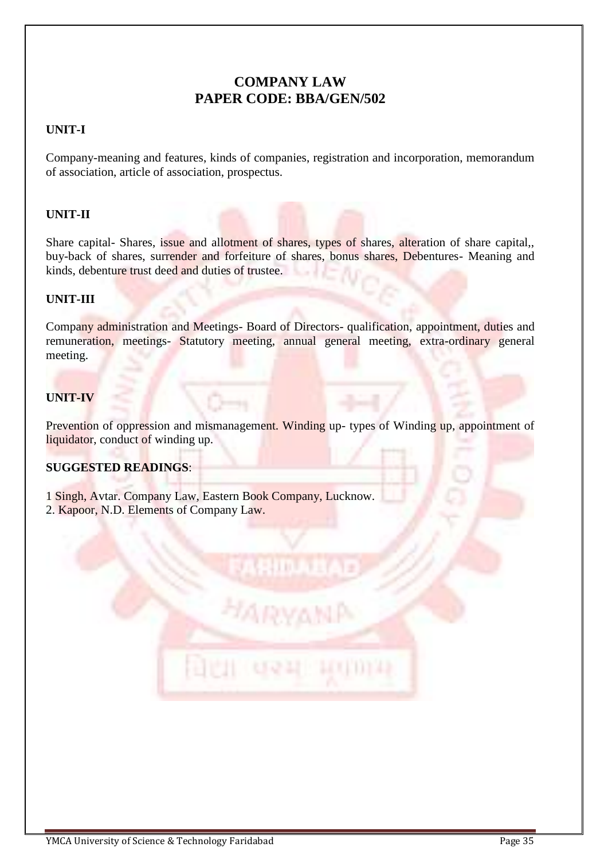# **COMPANY LAW PAPER CODE: BBA/GEN/502**

#### **UNIT-I**

Company-meaning and features, kinds of companies, registration and incorporation, memorandum of association, article of association, prospectus.

#### **UNIT-II**

Share capital- Shares, issue and allotment of shares, types of shares, alteration of share capital,, buy-back of shares, surrender and forfeiture of shares, bonus shares, Debentures- Meaning and kinds, debenture trust deed and duties of trustee.

#### **UNIT-III**

Company administration and Meetings- Board of Directors- qualification, appointment, duties and remuneration, meetings- Statutory meeting, annual general meeting, extra-ordinary general meeting.

#### **UNIT-IV**

Prevention of oppression and mismanagement. Winding up- types of Winding up, appointment of liquidator, conduct of winding up.

**IBLOTICS** 

MARYANI

निधा धरम

#### **SUGGESTED READINGS**:

1 Singh, Avtar. Company Law, Eastern Book Company, Lucknow. 2. Kapoor, N.D. Elements of Company Law.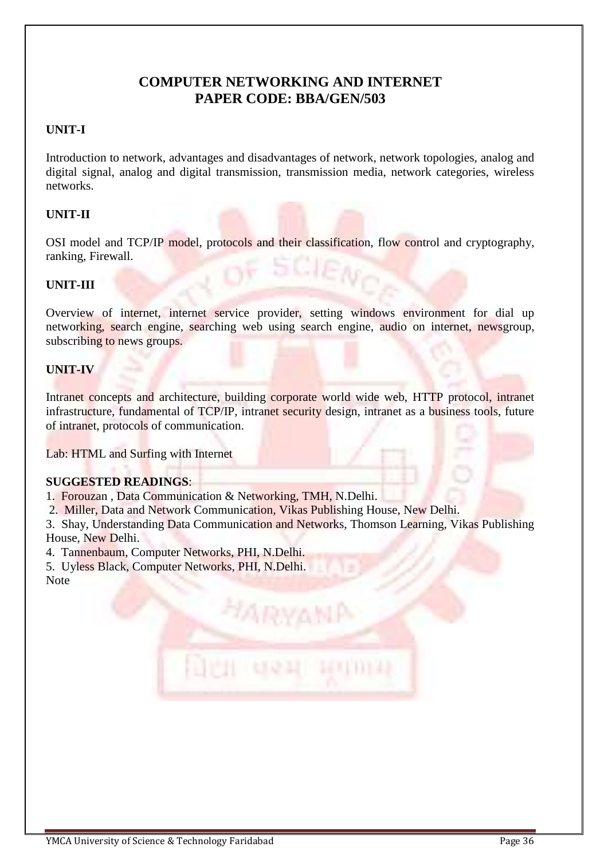# **COMPUTER NETWORKING AND INTERNET PAPER CODE: BBA/GEN/503**

#### **UNIT-I**

Introduction to network, advantages and disadvantages of network, network topologies, analog and digital signal, analog and digital transmission, transmission media, network categories, wireless networks.

#### **UNIT-II**

OSI model and TCP/IP model, protocols and their classification, flow control and cryptography, ranking, Firewall. **SCIEN** 

#### **UNIT-III**

Overview of internet, internet service provider, setting windows environment for dial up networking, search engine, searching web using search engine, audio on internet, newsgroup, subscribing to news groups.

#### **UNIT-IV**

Intranet concepts and architecture, building corporate world wide web, HTTP protocol, intranet infrastructure, fundamental of TCP/IP, intranet security design, intranet as a business tools, future of intranet, protocols of communication.

Lab: HTML and Surfing with Internet

#### **SUGGESTED READINGS**:

- 1. Forouzan , Data Communication & Networking, TMH, N.Delhi.
- 2. Miller, Data and Network Communication, Vikas Publishing House, New Delhi.

3. Shay, Understanding Data Communication and Networks, Thomson Learning, Vikas Publishing House, New Delhi.

MARYANA

<u>라비 ( 대국적 일</u>

- 4. Tannenbaum, Computer Networks, PHI, N.Delhi.
- 5. Uyless Black, Computer Networks, PHI, N.Delhi. Note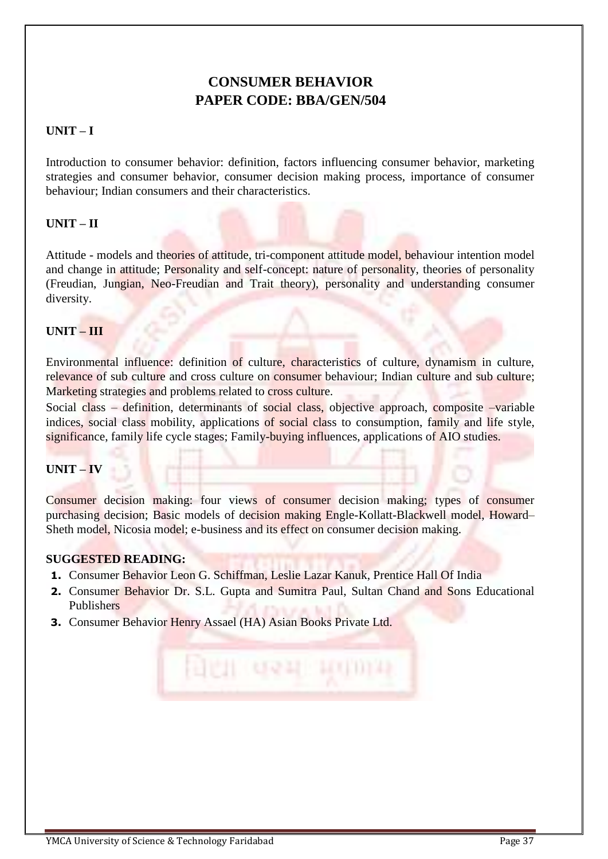# **CONSUMER BEHAVIOR PAPER CODE: BBA/GEN/504**

#### **UNIT – I**

Introduction to consumer behavior: definition, factors influencing consumer behavior, marketing strategies and consumer behavior, consumer decision making process, importance of consumer behaviour; Indian consumers and their characteristics.

#### **UNIT – II**

Attitude - models and theories of attitude, tri-component attitude model, behaviour intention model and change in attitude; Personality and self-concept: nature of personality, theories of personality (Freudian, Jungian, Neo-Freudian and Trait theory), personality and understanding consumer diversity.

#### **UNIT – III**

Environmental influence: definition of culture, characteristics of culture, dynamism in culture, relevance of sub culture and cross culture on consumer behaviour; Indian culture and sub culture; Marketing strategies and problems related to cross culture.

Social class – definition, determinants of social class, objective approach, composite –variable indices, social class mobility, applications of social class to consumption, family and life style, significance, family life cycle stages; Family-buying influences, applications of AIO studies.

#### **UNIT – IV**

Consumer decision making: four views of consumer decision making; types of consumer purchasing decision; Basic models of decision making Engle-Kollatt-Blackwell model, Howard– Sheth model, Nicosia model; e-business and its effect on consumer decision making.

#### **SUGGESTED READING:**

**1.** Consumer Behavior Leon G. Schiffman, Leslie Lazar Kanuk, Prentice Hall Of India

विद्या परमा प्रम

- **2.** Consumer Behavior Dr. S.L. Gupta and Sumitra Paul, Sultan Chand and Sons Educational Publishers
- **3.** Consumer Behavior Henry Assael (HA) Asian Books Private Ltd.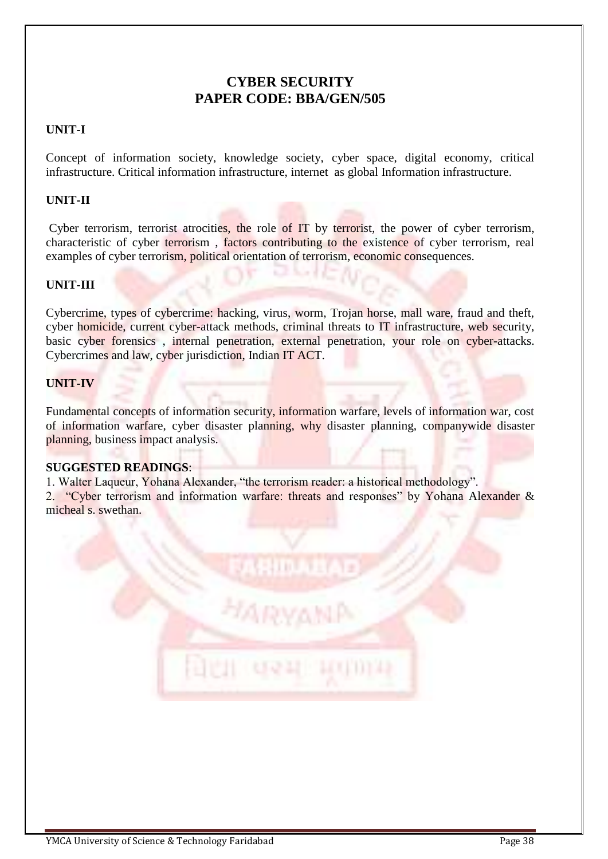# **CYBER SECURITY PAPER CODE: BBA/GEN/505**

#### **UNIT-I**

Concept of information society, knowledge society, cyber space, digital economy, critical infrastructure. Critical information infrastructure, internet as global Information infrastructure.

#### **UNIT-II**

Cyber terrorism, terrorist atrocities, the role of IT by terrorist, the power of cyber terrorism, characteristic of cyber terrorism , factors contributing to the existence of cyber terrorism, real examples of cyber terrorism, political orientation of terrorism, economic consequences.

#### **UNIT-III**

Cybercrime, types of cybercrime: hacking, virus, worm, Trojan horse, mall ware, fraud and theft, cyber homicide, current cyber-attack methods, criminal threats to IT infrastructure, web security, basic cyber forensics , internal penetration, external penetration, your role on cyber-attacks. Cybercrimes and law, cyber jurisdiction, Indian IT ACT.

#### **UNIT-IV**

Fundamental concepts of information security, information warfare, levels of information war, cost of information warfare, cyber disaster planning, why disaster planning, companywide disaster planning, business impact analysis.

#### **SUGGESTED READINGS**:

1. Walter Laqueur, Yohana Alexander, "the terrorism reader: a historical methodology". 2. "Cyber terrorism and information warfare: threats and responses" by Yohana Alexander & micheal s. swethan.

MARYANA

चित्री परम

**United State**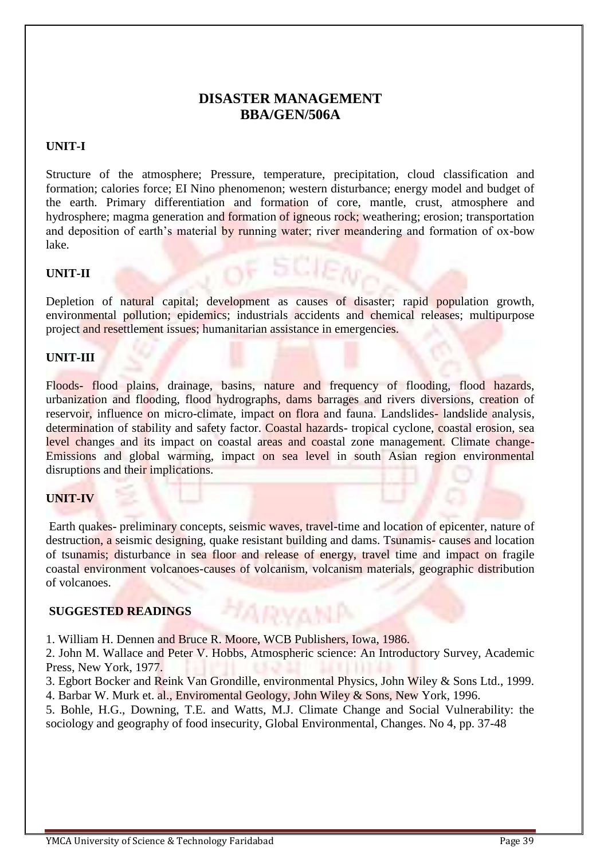# **DISASTER MANAGEMENT BBA/GEN/506A**

#### **UNIT-I**

Structure of the atmosphere; Pressure, temperature, precipitation, cloud classification and formation; calories force; EI Nino phenomenon; western disturbance; energy model and budget of the earth. Primary differentiation and formation of core, mantle, crust, atmosphere and hydrosphere; magma generation and formation of igneous rock; weathering; erosion; transportation and deposition of earth's material by running water; river meandering and formation of ox-bow lake.

#### **UNIT-II**

Depletion of natural capital; development as causes of disaster; rapid population growth, environmental pollution; epidemics; industrials accidents and chemical releases; multipurpose project and resettlement issues; humanitarian assistance in emergencies.

#### **UNIT-III**

Floods- flood plains, drainage, basins, nature and frequency of flooding, flood hazards, urbanization and flooding, flood hydrographs, dams barrages and rivers diversions, creation of reservoir, influence on micro-climate, impact on flora and fauna. Landslides-landslide analysis, determination of stability and safety factor. Coastal hazards- tropical cyclone, coastal erosion, sea level changes and its impact on coastal areas and coastal zone management. Climate change-Emissions and global warming, impact on sea level in south Asian region environmental disruptions and their implications.

#### **UNIT-IV**

Earth quakes- preliminary concepts, seismic waves, travel-time and location of epicenter, nature of destruction, a seismic designing, quake resistant building and dams. Tsunamis-causes and location of tsunamis; disturbance in sea floor and release of energy, travel time and impact on fragile coastal environment volcanoes-causes of volcanism, volcanism materials, geographic distribution of volcanoes.

#### **SUGGESTED READINGS**

1. William H. Dennen and Bruce R. Moore, WCB Publishers, Iowa, 1986.

2. John M. Wallace and Peter V. Hobbs, Atmospheric science: An Introductory Survey, Academic Press, New York, 1977.

MARYANA

3. Egbort Bocker and Reink Van Grondille, environmental Physics, John Wiley & Sons Ltd., 1999. 4. Barbar W. Murk et. al., Enviromental Geology, John Wiley & Sons, New York, 1996.

5. Bohle, H.G., Downing, T.E. and Watts, M.J. Climate Change and Social Vulnerability: the sociology and geography of food insecurity, Global Environmental, Changes. No 4, pp. 37-48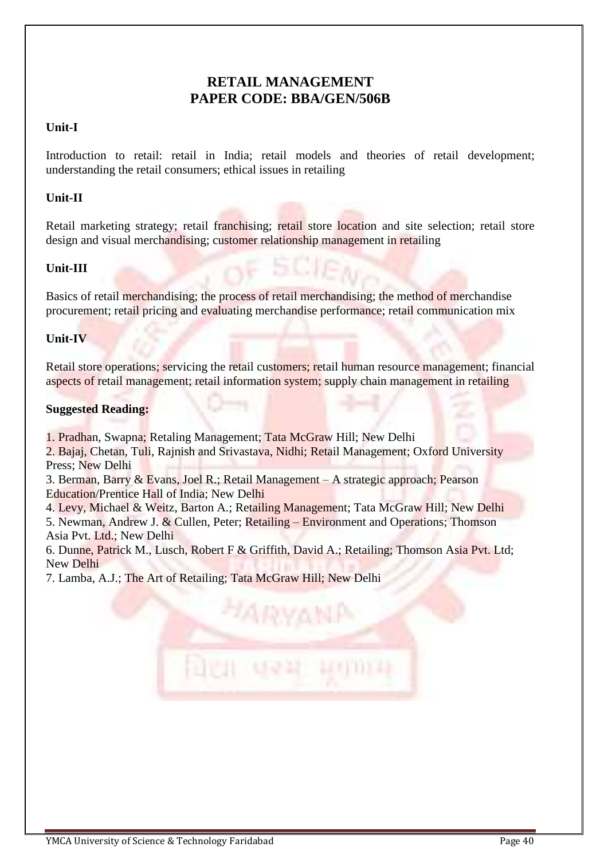# **RETAIL MANAGEMENT PAPER CODE: BBA/GEN/506B**

#### **Unit-I**

Introduction to retail: retail in India; retail models and theories of retail development; understanding the retail consumers; ethical issues in retailing

#### **Unit-II**

Retail marketing strategy; retail franchising; retail store location and site selection; retail store design and visual merchandising; customer relationship management in retailing

#### **Unit-III**

Basics of retail merchandising; the process of retail merchandising; the method of merchandise procurement; retail pricing and evaluating merchandise performance; retail communication mix

#### **Unit-IV**

Retail store operations; servicing the retail customers; retail human resource management; financial aspects of retail management; retail information system; supply chain management in retailing

#### **Suggested Reading:**

1. Pradhan, Swapna; Retaling Management; Tata McGraw Hill; New Delhi

2. Bajaj, Chetan, Tuli, Rajnish and Srivastava, Nidhi; Retail Management; Oxford University Press; New Delhi

3. Berman, Barry & Evans, Joel R.; Retail Management – A strategic approach; Pearson Education/Prentice Hall of India; New Delhi

4. Levy, Michael & Weitz, Barton A.; Retailing Management; Tata McGraw Hill; New Delhi 5. Newman, Andrew J. & Cullen, Peter; Retailing – Environment and Operations; Thomson

Asia Pvt. Ltd.; New Delhi

6. Dunne, Patrick M., Lusch, Robert F & Griffith, David A.; Retailing; Thomson Asia Pvt. Ltd; New Delhi

MARYANA

विद्या परम म

7. Lamba, A.J.; The Art of Retailing; Tata McGraw Hill; New Delhi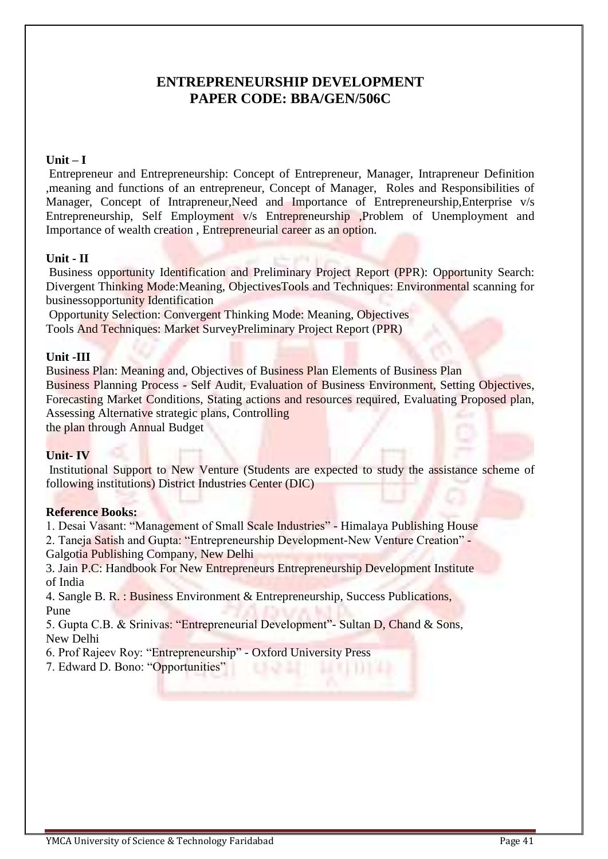# **ENTREPRENEURSHIP DEVELOPMENT PAPER CODE: BBA/GEN/506C**

#### **Unit – I**

Entrepreneur and Entrepreneurship: Concept of Entrepreneur, Manager, Intrapreneur Definition ,meaning and functions of an entrepreneur, Concept of Manager, Roles and Responsibilities of Manager, Concept of Intrapreneur, Need and Importance of Entrepreneurship, Enterprise v/s Entrepreneurship, Self Employment v/s Entrepreneurship ,Problem of Unemployment and Importance of wealth creation , Entrepreneurial career as an option.

#### **Unit - II**

Business opportunity Identification and Preliminary Project Report (PPR): Opportunity Search: Divergent Thinking Mode:Meaning, ObjectivesTools and Techniques: Environmental scanning for businessopportunity Identification

Opportunity Selection: Convergent Thinking Mode: Meaning, Objectives

Tools And Techniques: Market SurveyPreliminary Project Report (PPR)

#### **Unit -III**

Business Plan: Meaning and, Objectives of Business Plan Elements of Business Plan Business Planning Process - Self Audit, Evaluation of Business Environment, Setting Objectives, Forecasting Market Conditions, Stating actions and resources required, Evaluating Proposed plan, Assessing Alternative strategic plans, Controlling the plan through Annual Budget

#### **Unit- IV**

Institutional Support to New Venture (Students are expected to study the assistance scheme of following institutions) District Industries Center (DIC)

#### **Reference Books:**

1. Desai Vasant: "Management of Small Scale Industries" - Himalaya Publishing House

2. Taneja Satish and Gupta: "Entrepreneurship Development-New Venture Creation" - Galgotia Publishing Company, New Delhi

3. Jain P.C: Handbook For New Entrepreneurs Entrepreneurship Development Institute of India

4. Sangle B. R. : Business Environment & Entrepreneurship, Success Publications, Pune

5. Gupta C.B. & Srinivas: "Entrepreneurial Development"- Sultan D, Chand & Sons, New Delhi

6. Prof Rajeev Roy: "Entrepreneurship" - Oxford University Press

7. Edward D. Bono: "Opportunities"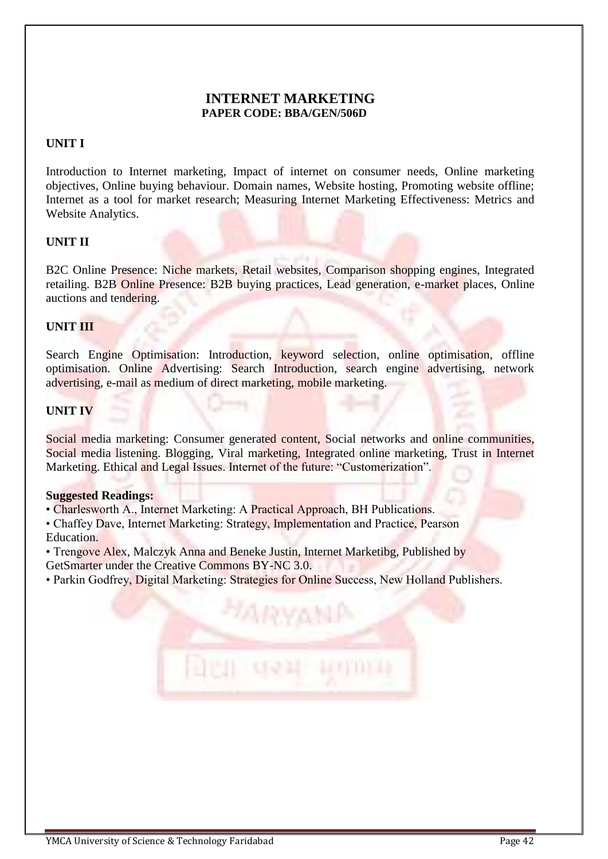#### **INTERNET MARKETING PAPER CODE: BBA/GEN/506D**

#### **UNIT I**

Introduction to Internet marketing, Impact of internet on consumer needs, Online marketing objectives, Online buying behaviour. Domain names, Website hosting, Promoting website offline; Internet as a tool for market research; Measuring Internet Marketing Effectiveness: Metrics and Website Analytics.

#### **UNIT II**

B2C Online Presence: Niche markets, Retail websites, Comparison shopping engines, Integrated retailing. B2B Online Presence: B2B buying practices, Lead generation, e-market places, Online auctions and tendering.

#### **UNIT III**

Search Engine Optimisation: Introduction, keyword selection, online optimisation, offline optimisation. Online Advertising: Search Introduction, search engine advertising, network advertising, e-mail as medium of direct marketing, mobile marketing.

#### **UNIT IV**

Social media marketing: Consumer generated content, Social networks and online communities, Social media listening. Blogging, Viral marketing, Integrated online marketing, Trust in Internet Marketing. Ethical and Legal Issues. Internet of the future: "Customerization".

#### **Suggested Readings:**

• Charlesworth A., Internet Marketing: A Practical Approach, BH Publications.

• Chaffey Dave, Internet Marketing: Strategy, Implementation and Practice, Pearson Education.

• Trengove Alex, Malczyk Anna and Beneke Justin, Internet Marketibg, Published by GetSmarter under the Creative Commons BY-NC 3.0.

• Parkin Godfrey, Digital Marketing: Strategies for Online Success, New Holland Publishers.

![](_page_41_Picture_14.jpeg)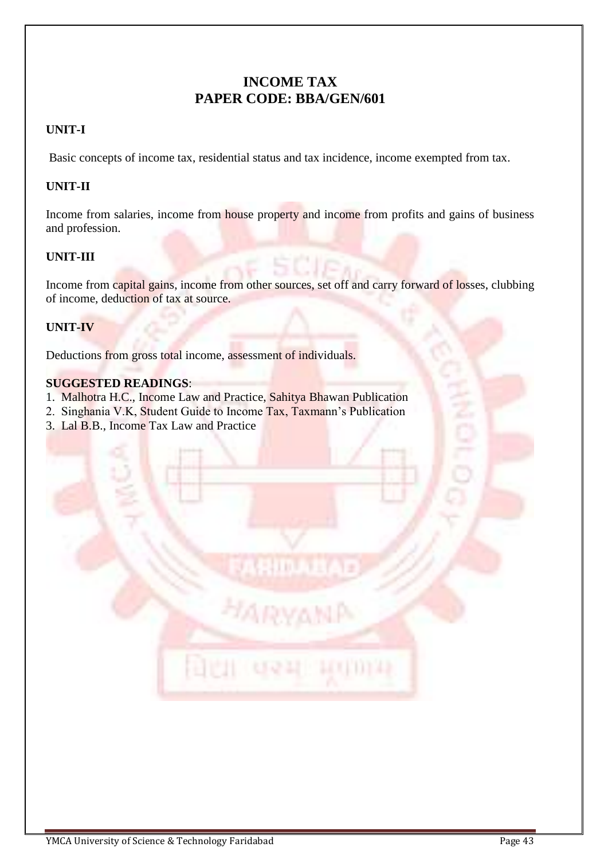# **INCOME TAX PAPER CODE: BBA/GEN/601**

#### **UNIT-I**

Basic concepts of income tax, residential status and tax incidence, income exempted from tax.

#### **UNIT-II**

Income from salaries, income from house property and income from profits and gains of business and profession.

#### **UNIT-III**

Income from capital gains, income from other sources, set off and carry forward of losses, clubbing of income, deduction of tax at source.

*ARYANI* 

धिक्षा एकम

#### **UNIT-IV**

Deductions from gross total income, assessment of individuals.

- 1. Malhotra H.C., Income Law and Practice, Sahitya Bhawan Publication
- 2. Singhania V.K, Student Guide to Income Tax, Taxmann's Publication
- 3. Lal B.B., Income Tax Law and Practice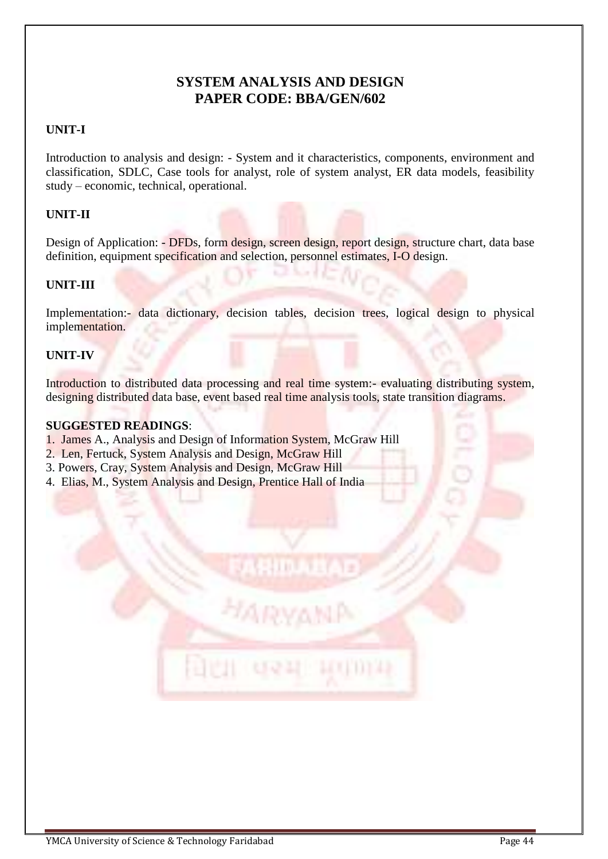# **SYSTEM ANALYSIS AND DESIGN PAPER CODE: BBA/GEN/602**

#### **UNIT-I**

Introduction to analysis and design: - System and it characteristics, components, environment and classification, SDLC, Case tools for analyst, role of system analyst, ER data models, feasibility study – economic, technical, operational.

#### **UNIT-II**

Design of Application: - DFDs, form design, screen design, report design, structure chart, data base definition, equipment specification and selection, personnel estimates, I-O design.

#### **UNIT-III**

Implementation:- data dictionary, decision tables, decision trees, logical design to physical implementation.

#### **UNIT-IV**

Introduction to distributed data processing and real time system:- evaluating distributing system, designing distributed data base, event based real time analysis tools, state transition diagrams.

MARYANI

माना परम

- 1. James A., Analysis and Design of Information System, McGraw Hill
- 2. Len, Fertuck, System Analysis and Design, McGraw Hill
- 3. Powers, Cray, System Analysis and Design, McGraw Hill
- 4. Elias, M., System Analysis and Design, Prentice Hall of India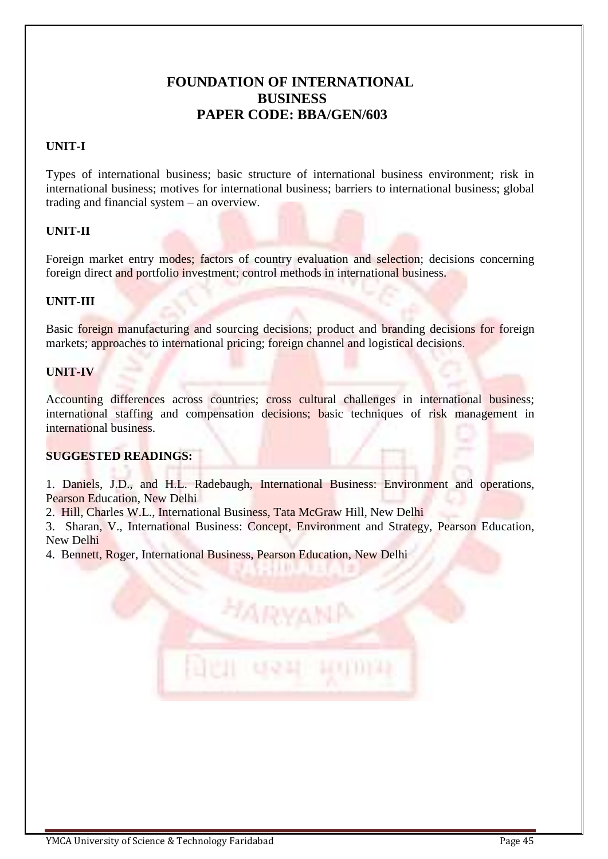# **FOUNDATION OF INTERNATIONAL BUSINESS PAPER CODE: BBA/GEN/603**

#### **UNIT-I**

Types of international business; basic structure of international business environment; risk in international business; motives for international business; barriers to international business; global trading and financial system – an overview.

#### **UNIT-II**

Foreign market entry modes; factors of country evaluation and selection; decisions concerning foreign direct and portfolio investment; control methods in international business.

#### **UNIT-III**

Basic foreign manufacturing and sourcing decisions; product and branding decisions for foreign markets; approaches to international pricing; foreign channel and logistical decisions.

#### **UNIT-IV**

Accounting differences across countries; cross cultural challenges in international business; international staffing and compensation decisions; basic techniques of risk management in international business.

#### **SUGGESTED READINGS:**

1. Daniels, J.D., and H.L. Radebaugh, International Business: Environment and operations, Pearson Education, New Delhi

2. Hill, Charles W.L., International Business, Tata McGraw Hill, New Delhi

3. Sharan, V., International Business: Concept, Environment and Strategy, Pearson Education, New Delhi

MARYANA

日間 中耳 取

4. Bennett, Roger, International Business, Pearson Education, New Delhi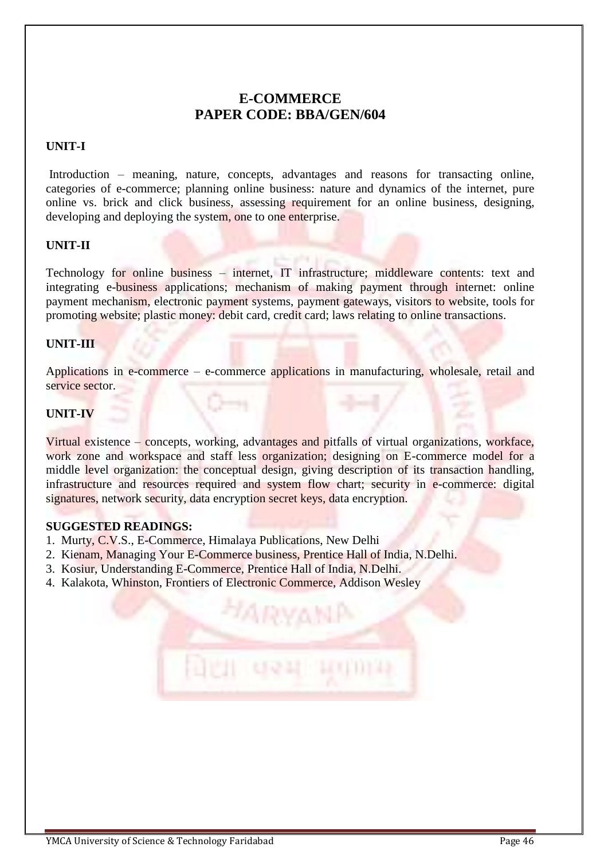# **E-COMMERCE PAPER CODE: BBA/GEN/604**

#### **UNIT-I**

Introduction – meaning, nature, concepts, advantages and reasons for transacting online, categories of e-commerce; planning online business: nature and dynamics of the internet, pure online vs. brick and click business, assessing requirement for an online business, designing, developing and deploying the system, one to one enterprise.

#### **UNIT-II**

Technology for online business – internet, IT infrastructure; middleware contents: text and integrating e-business applications; mechanism of making payment through internet: online payment mechanism, electronic payment systems, payment gateways, visitors to website, tools for promoting website; plastic money: debit card, credit card; laws relating to online transactions.

#### **UNIT-III**

Applications in e-commerce – e-commerce applications in manufacturing, wholesale, retail and service sector.

#### **UNIT-IV**

Virtual existence – concepts, working, advantages and pitfalls of virtual organizations, workface, work zone and workspace and staff less organization; designing on E-commerce model for a middle level organization: the conceptual design, giving description of its transaction handling, infrastructure and resources required and system flow chart; security in e-commerce: digital signatures, network security, data encryption secret keys, data encryption.

MARYANA

चिता खरम म

- 1. Murty, C.V.S., E-Commerce, Himalaya Publications, New Delhi
- 2. Kienam, Managing Your E-Commerce business, Prentice Hall of India, N.Delhi.
- 3. Kosiur, Understanding E-Commerce, Prentice Hall of India, N.Delhi.
- 4. Kalakota, Whinston, Frontiers of Electronic Commerce, Addison Wesley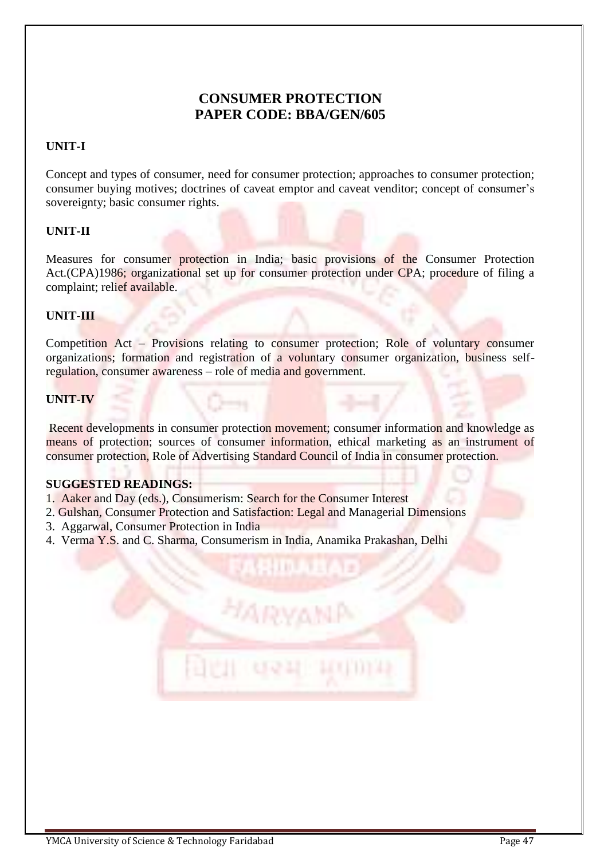# **CONSUMER PROTECTION PAPER CODE: BBA/GEN/605**

#### **UNIT-I**

Concept and types of consumer, need for consumer protection; approaches to consumer protection; consumer buying motives; doctrines of caveat emptor and caveat venditor; concept of consumer's sovereignty; basic consumer rights.

#### **UNIT-II**

Measures for consumer protection in India; basic provisions of the Consumer Protection Act.(CPA)1986; organizational set up for consumer protection under CPA; procedure of filing a complaint; relief available.

#### **UNIT-III**

Competition Act – Provisions relating to consumer protection; Role of voluntary consumer organizations; formation and registration of a voluntary consumer organization, business selfregulation, consumer awareness – role of media and government.

#### **UNIT**-**IV**

Recent developments in consumer protection movement; consumer information and knowledge as means of protection; sources of consumer information, ethical marketing as an instrument of consumer protection, Role of Advertising Standard Council of India in consumer protection.

**JARIDAHAD** 

HARYANA

चिद्या परम मुग्राम

- 1. Aaker and Day (eds.), Consumerism: Search for the Consumer Interest
- 2. Gulshan, Consumer Protection and Satisfaction: Legal and Managerial Dimensions
- 3. Aggarwal, Consumer Protection in India
- 4. Verma Y.S. and C. Sharma, Consumerism in India, Anamika Prakashan, Delhi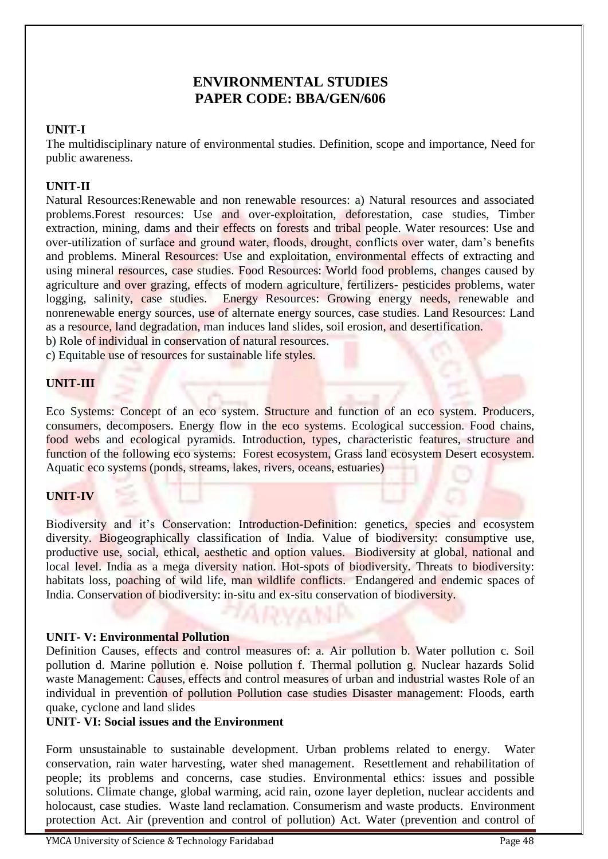# **ENVIRONMENTAL STUDIES PAPER CODE: BBA/GEN/606**

#### **UNIT-I**

The multidisciplinary nature of environmental studies. Definition, scope and importance, Need for public awareness.

#### **UNIT-II**

Natural Resources:Renewable and non renewable resources: a) Natural resources and associated problems.Forest resources: Use and over-exploitation, deforestation, case studies, Timber extraction, mining, dams and their effects on forests and tribal people. Water resources: Use and over-utilization of surface and ground water, floods, drought, conflicts over water, dam's benefits and problems. Mineral Resources: Use and exploitation, environmental effects of extracting and using mineral resources, case studies. Food Resources: World food problems, changes caused by agriculture and over grazing, effects of modern agriculture, fertilizers- pesticides problems, water logging, salinity, case studies. Energy Resources: Growing energy needs, renewable and nonrenewable energy sources, use of alternate energy sources, case studies. Land Resources: Land as a resource, land degradation, man induces land slides, soil erosion, and desertification.

b) Role of individual in conservation of natural resources.

c) Equitable use of resources for sustainable life styles.

#### **UNIT-III**

Eco Systems: Concept of an eco system. Structure and function of an eco system. Producers, consumers, decomposers. Energy flow in the eco systems. Ecological succession. Food chains, food webs and ecological pyramids. Introduction, types, characteristic features, structure and function of the following eco systems: Forest ecosystem, Grass land ecosystem Desert ecosystem. Aquatic eco systems (ponds, streams, lakes, rivers, oceans, estuaries)

#### **UNIT-IV**

Biodiversity and it's Conservation: Introduction-Definition: genetics, species and ecosystem diversity. Biogeographically classification of India. Value of biodiversity: consumptive use, productive use, social, ethical, aesthetic and option values. Biodiversity at global, national and local level. India as a mega diversity nation. Hot-spots of biodiversity. Threats to biodiversity: habitats loss, poaching of wild life, man wildlife conflicts. Endangered and endemic spaces of India. Conservation of biodiversity: in-situ and ex-situ conservation of biodiversity.

#### **UNIT- V: Environmental Pollution**

Definition Causes, effects and control measures of: a. Air pollution b. Water pollution c. Soil pollution d. Marine pollution e. Noise pollution f. Thermal pollution g. Nuclear hazards Solid waste Management: Causes, effects and control measures of urban and industrial wastes Role of an individual in prevention of pollution Pollution case studies Disaster management: Floods, earth quake, cyclone and land slides

#### **UNIT- VI: Social issues and the Environment**

Form unsustainable to sustainable development. Urban problems related to energy. Water conservation, rain water harvesting, water shed management. Resettlement and rehabilitation of people; its problems and concerns, case studies. Environmental ethics: issues and possible solutions. Climate change, global warming, acid rain, ozone layer depletion, nuclear accidents and holocaust, case studies. Waste land reclamation. Consumerism and waste products. Environment protection Act. Air (prevention and control of pollution) Act. Water (prevention and control of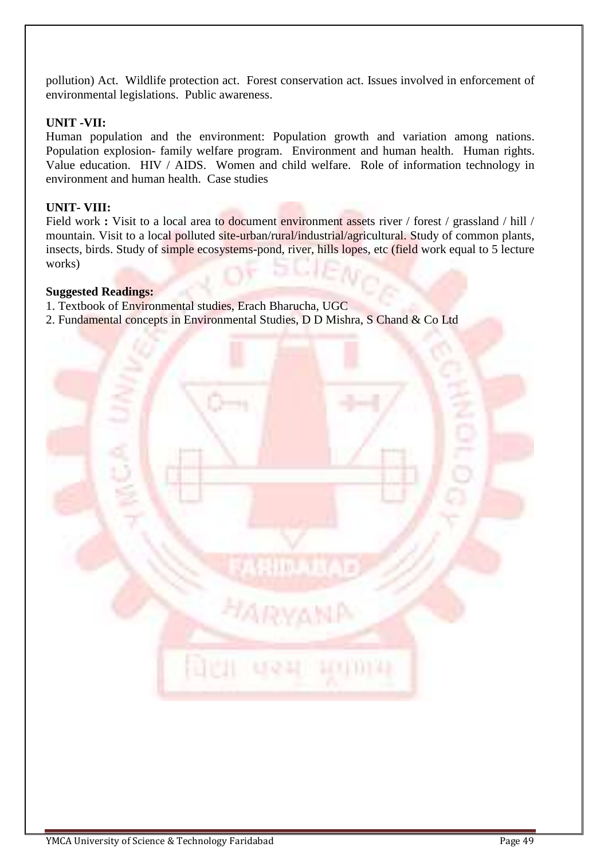pollution) Act. Wildlife protection act. Forest conservation act. Issues involved in enforcement of environmental legislations. Public awareness.

#### **UNIT -VII:**

Human population and the environment: Population growth and variation among nations. Population explosion- family welfare program. Environment and human health. Human rights. Value education. HIV / AIDS. Women and child welfare. Role of information technology in environment and human health. Case studies

#### **UNIT- VIII:**

Field work : Visit to a local area to document environment assets river / forest / grassland / hill / mountain. Visit to a local polluted site-urban/rural/industrial/agricultural. Study of common plants, insects, birds. Study of simple ecosystems-pond, river, hills lopes, etc (field work equal to 5 lecture works)

#### **Suggested Readings:**

- 1. Textbook of Environmental studies, Erach Bharucha, UGC
- 2. Fundamental concepts in Environmental Studies, D D Mishra, S Chand & Co Ltd

![](_page_48_Picture_8.jpeg)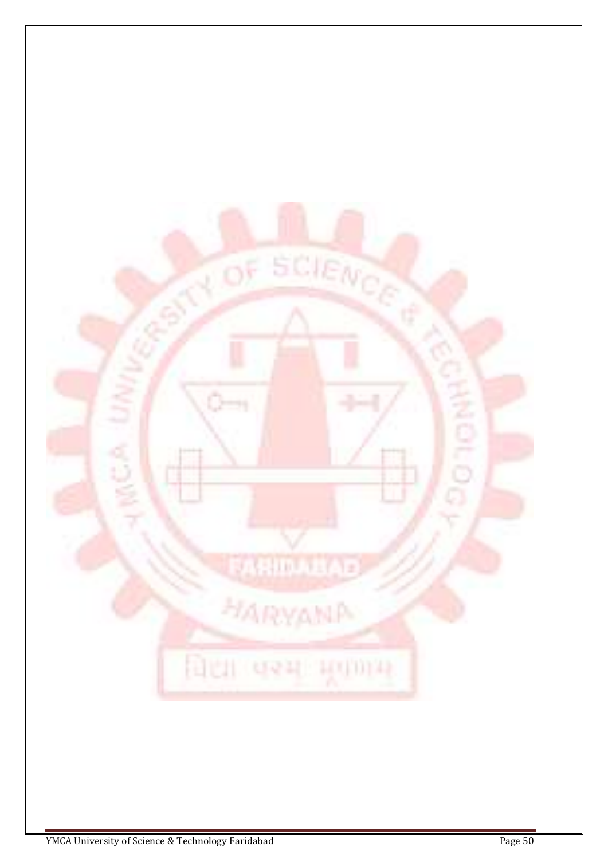![](_page_49_Picture_0.jpeg)